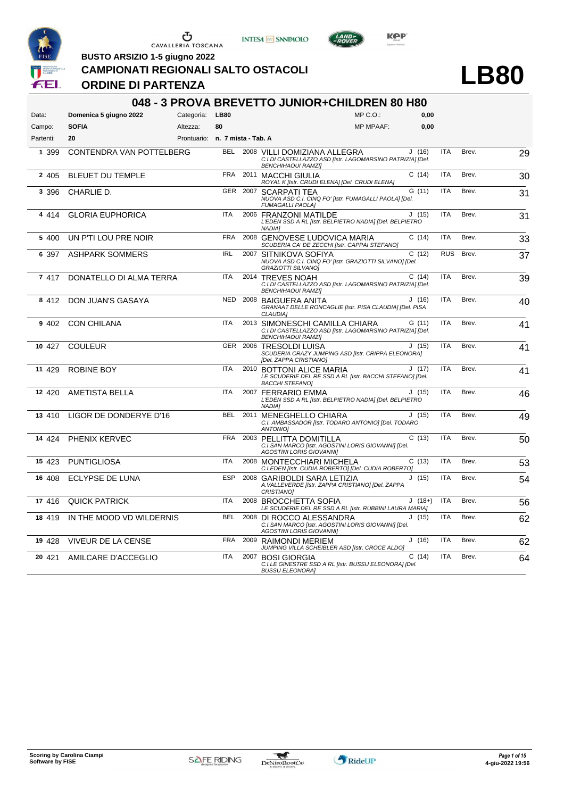







**CAMPIONATI REGIONALI SALTO OSTACOLI**

### **ORDINE DI PARTENZA**

**BUSTO ARSIZIO 1-5 giugno 2022**

# **LB80**

|           |                                 |                                 |             |      | 048 - 3 PROVA BREVETTO JUNIOR+CHILDREN 80 H80                                                                              |          |            |       |    |
|-----------|---------------------------------|---------------------------------|-------------|------|----------------------------------------------------------------------------------------------------------------------------|----------|------------|-------|----|
| Data:     | Domenica 5 giugno 2022          | Categoria:                      | <b>LB80</b> |      | $MP C. O.$ :                                                                                                               | 0.00     |            |       |    |
| Campo:    | <b>SOFIA</b>                    | Altezza:                        | 80          |      | <b>MP MPAAF:</b>                                                                                                           | 0,00     |            |       |    |
| Partenti: | 20                              | Prontuario: n. 7 mista - Tab. A |             |      |                                                                                                                            |          |            |       |    |
| 1 399     | <b>CONTENDRA VAN POTTELBERG</b> |                                 |             |      | BEL 2008 VILLI DOMIZIANA ALLEGRA<br>C.I.DI CASTELLAZZO ASD [Istr. LAGOMARSINO PATRIZIA] [Del.<br><b>BENCHIHAOUI RAMZI]</b> | J(16)    | <b>ITA</b> | Brev. | 29 |
| 2 4 0 5   | <b>BLEUET DU TEMPLE</b>         |                                 | <b>FRA</b>  |      | 2011 MACCHI GIULIA<br>ROYAL K [Istr. CRUDI ELENA] [Del. CRUDI ELENA]                                                       | C(14)    | <b>ITA</b> | Brev. | 30 |
| 3 3 9 6   | CHARLIE D.                      |                                 | GER         |      | 2007 SCARPATI TEA<br>NUOVA ASD C.I. CINQ FO' [Istr. FUMAGALLI PAOLA] [Del.<br><b>FUMAGALLI PAOLA]</b>                      | G(11)    | <b>ITA</b> | Brev. | 31 |
| 4 4 1 4   | <b>GLORIA EUPHORICA</b>         |                                 | <b>ITA</b>  |      | 2006 FRANZONI MATILDE<br>L'EDEN SSD A RL [Istr. BELPIETRO NADIA] [Del. BELPIETRO<br><b>NADIA1</b>                          | J(15)    | <b>ITA</b> | Brev. | 31 |
| 5 400     | UN P'TI LOU PRE NOIR            |                                 | <b>FRA</b>  | 2008 | GENOVESE LUDOVICA MARIA<br>SCUDERIA CA' DE ZECCHI [Istr. CAPPAI STEFANO]                                                   | C(14)    | <b>ITA</b> | Brev. | 33 |
| 6 397     | <b>ASHPARK SOMMERS</b>          |                                 | <b>IRL</b>  |      | 2007 SITNIKOVA SOFIYA<br>NUOVA ASD C.I. CINQ FO' [Istr. GRAZIOTTI SILVANO] [Del.<br>GRAZIOTTI SILVANO]                     | C(12)    | <b>RUS</b> | Brev. | 37 |
| 7 417     | DONATELLO DI ALMA TERRA         |                                 | <b>ITA</b>  |      | 2014 TREVES NOAH<br>C.I.DI CASTELLAZZO ASD [Istr. LAGOMARSINO PATRIZIA] [Del.<br><b>BENCHIHAOUI RAMZII</b>                 | C(14)    | <b>ITA</b> | Brev. | 39 |
| 8 4 1 2   | DON JUAN'S GASAYA               |                                 | <b>NED</b>  |      | 2008 BAIGUERA ANITA<br>GRANAAT DELLE RONCAGLIE [Istr. PISA CLAUDIA] [Del. PISA<br><b>CLAUDIA1</b>                          | J(16)    | <b>ITA</b> | Brev. | 40 |
| 9 402     | <b>CON CHILANA</b>              |                                 | <b>ITA</b>  |      | 2013 SIMONESCHI CAMILLA CHIARA<br>C.I.DI CASTELLAZZO ASD [Istr. LAGOMARSINO PATRIZIA] [Del.<br><b>BENCHIHAOUI RAMZI]</b>   | G(11)    | <b>ITA</b> | Brev. | 41 |
| 10 427    | <b>COULEUR</b>                  |                                 |             |      | GER 2006 TRESOLDI LUISA<br>SCUDERIA CRAZY JUMPING ASD [Istr. CRIPPA ELEONORA]<br>[Del. ZAPPA CRISTIANO]                    | J(15)    | <b>ITA</b> | Brev. | 41 |
| 11 429    | <b>ROBINE BOY</b>               |                                 | <b>ITA</b>  |      | 2010 BOTTONI ALICE MARIA<br>LE SCUDERIE DEL RE SSD A RL [Istr. BACCHI STEFANO] [Del.<br><b>BACCHI STEFANOI</b>             | J(17)    | <b>ITA</b> | Brev. | 41 |
| 12 4 20   | <b>AMETISTA BELLA</b>           |                                 | <b>ITA</b>  |      | 2007 FERRARIO EMMA<br>L'EDEN SSD A RL [Istr. BELPIETRO NADIA] [Del. BELPIETRO<br>NADIA1                                    | J(15)    | <b>ITA</b> | Brev. | 46 |
| 13 410    | LIGOR DE DONDERYE D'16          |                                 | <b>BEL</b>  |      | 2011 MENEGHELLO CHIARA<br>C.I. AMBASSADOR [Istr. TODARO ANTONIO] [Del. TODARO<br>ANTONIO1                                  | J(15)    | <b>ITA</b> | Brev. | 49 |
| 14 4 24   | PHENIX KERVEC                   |                                 | <b>FRA</b>  |      | 2003 PELLITTA DOMITILLA<br>C.I.SAN MARCO [Istr. AGOSTINI LORIS GIOVANNI] [Del.<br><b>AGOSTINI LORIS GIOVANNII</b>          | C(13)    | <b>ITA</b> | Brev. | 50 |
| 15 423    | <b>PUNTIGLIOSA</b>              |                                 | <b>ITA</b>  |      | 2008 MONTECCHIARI MICHELA<br>C.I.EDEN [Istr. CUDIA ROBERTO] [Del. CUDIA ROBERTO]                                           | C(13)    | <b>ITA</b> | Brev. | 53 |
| 16 408    | <b>ECLYPSE DE LUNA</b>          |                                 | <b>ESP</b>  |      | 2008 GARIBOLDI SARA LETIZIA<br>A. VALLEVERDE [Istr. ZAPPA CRISTIANO] [Del. ZAPPA<br>CRISTIANO]                             | J(15)    | <b>ITA</b> | Brev. | 54 |
| 17 416    | <b>QUICK PATRICK</b>            |                                 | ITA         |      | 2008 BROCCHETTA SOFIA<br>LE SCUDERIE DEL RE SSD A RL [Istr. RUBBINI LAURA MARIA]                                           | $J(18+)$ | ITA        | Brev. | 56 |
| 18 419    | IN THE MOOD VD WILDERNIS        |                                 | <b>BEL</b>  |      | 2008 DI ROCCO ALESSANDRA<br>C.I.SAN MARCO [Istr. AGOSTINI LORIS GIOVANNI] [Del.<br><b>AGOSTINI LORIS GIOVANNII</b>         | J(15)    | <b>ITA</b> | Brev. | 62 |
| 19 428    | VIVEUR DE LA CENSE              |                                 | <b>FRA</b>  |      | 2009 RAIMONDI MERIEM<br>JUMPING VILLA SCHEIBLER ASD [Istr. CROCE ALDO]                                                     | J(16)    | <b>ITA</b> | Brev. | 62 |
| 20 421    | AMILCARE D'ACCEGLIO             |                                 | <b>ITA</b>  | 2007 | <b>BOSI GIORGIA</b><br>C.I.LE GINESTRE SSD A RL [Istr. BUSSU ELEONORA] [Del.<br><b>BUSSU ELEONORAI</b>                     | C(14)    | <b>ITA</b> | Brev. | 64 |

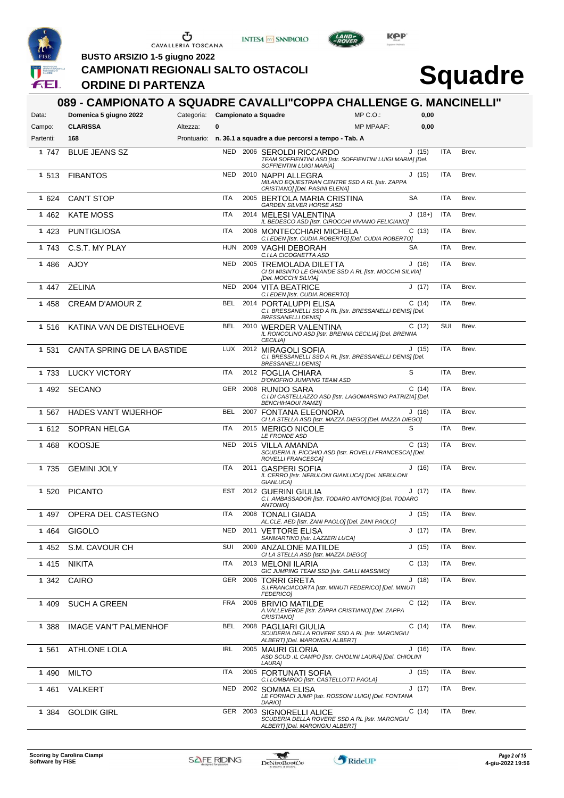

**INTESA** M SANPAOLO



LAND-

**BUSTO ARSIZIO 1-5 giugno 2022**

**ORDINE DI PARTENZA**

**CAMPIONATI REGIONALI SALTO OSTACOLI**

| Data:     | 089 - CAMPIONATO A SQUADRE CAVALLI"COPPA CHALLENGE G. MANCINELLI"<br>Domenica 5 giugno 2022 | Categoria: Campionato a Squadre |            |          |                                                                                                                 | $MP C. O.$ :     | 0,00      |            |       |
|-----------|---------------------------------------------------------------------------------------------|---------------------------------|------------|----------|-----------------------------------------------------------------------------------------------------------------|------------------|-----------|------------|-------|
| Campo:    | <b>CLARISSA</b>                                                                             | Altezza:                        | 0          |          |                                                                                                                 | <b>MP MPAAF:</b> | 0,00      |            |       |
| Partenti: | 168                                                                                         |                                 |            |          | Prontuario: n. 36.1 a squadre a due percorsi a tempo - Tab. A                                                   |                  |           |            |       |
| 1 747     | <b>BLUE JEANS SZ</b>                                                                        |                                 | NED        |          | 2006 SEROLDI RICCARDO<br>TEAM SOFFIENTINI ASD [Istr. SOFFIENTINI LUIGI MARIA] [Del.<br>SOFFIENTINI LUIGI MARIA] |                  | J(15)     | <b>ITA</b> | Brev. |
| 1 513     | <b>FIBANTOS</b>                                                                             |                                 | <b>NED</b> |          | 2010 NAPPI ALLEGRA<br>MILANO EQUESTRIAN CENTRE SSD A RL [Istr. ZAPPA<br>CRISTIANO] [Del. PASINI ELENA]          |                  | J(15)     | <b>ITA</b> | Brev. |
| 1 624     | <b>CAN'T STOP</b>                                                                           |                                 | ITA        |          | 2005 BERTOLA MARIA CRISTINA<br>GARDEN SILVER HORSE ASD                                                          |                  | <b>SA</b> | <b>ITA</b> | Brev. |
| 1 4 6 2   | <b>KATE MOSS</b>                                                                            |                                 | <b>ITA</b> |          | 2014 MELESI VALENTINA<br>IL BEDESCO ASD [Istr. CIROCCHI VIVIANO FELICIANO]                                      |                  | $J(18+)$  | <b>ITA</b> | Brev. |
| 1 4 2 3   | <b>PUNTIGLIOSA</b>                                                                          |                                 | ITA        |          | 2008 MONTECCHIARI MICHELA<br>C.I.EDEN [Istr. CUDIA ROBERTO] [Del. CUDIA ROBERTO]                                |                  | C(13)     | <b>ITA</b> | Brev. |
| 1 743     | C.S.T. MY PLAY                                                                              |                                 | <b>HUN</b> |          | 2009 VAGHI DEBORAH<br>C.I.LA CICOGNETTA ASD                                                                     |                  | <b>SA</b> | <b>ITA</b> | Brev. |
| 1 486     | AJOY                                                                                        |                                 | <b>NED</b> |          | 2005 TREMOLADA DILETTA<br>CI DI MISINTO LE GHIANDE SSD A RL [Istr. MOCCHI SILVIA]<br>[Del. MOCCHI SILVIA]       |                  | J(16)     | <b>ITA</b> | Brev. |
| 1 447     | ZELINA                                                                                      |                                 | <b>NED</b> |          | 2004 VITA BEATRICE<br>C.I.EDEN [Istr. CUDIA ROBERTO]                                                            |                  | J(17)     | <b>ITA</b> | Brev. |
| 1458      | <b>CREAM D'AMOUR Z</b>                                                                      |                                 | <b>BEL</b> |          | 2014 PORTALUPPI ELISA<br>C.I. BRESSANELLI SSD A RL [Istr. BRESSANELLI DENIS] [Del.<br><b>BRESSANELLI DENIS]</b> |                  | C(14)     | <b>ITA</b> | Brev. |
| 1 516     | KATINA VAN DE DISTELHOEVE                                                                   |                                 | <b>BEL</b> |          | 2010 WERDER VALENTINA<br>IL RONCOLINO ASD [Istr. BRENNA CECILIA] [Del. BRENNA<br><b>CECILIA)</b>                |                  | C(12)     | SUI        | Brev. |
| 1 531     | CANTA SPRING DE LA BASTIDE                                                                  |                                 | LUX        |          | 2012 MIRAGOLI SOFIA<br>C.I. BRESSANELLI SSD A RL [Istr. BRESSANELLI DENIS] [Del.<br><b>BRESSANELLI DENIS]</b>   |                  | J(15)     | <b>ITA</b> | Brev. |
| 1 733     | <b>LUCKY VICTORY</b>                                                                        |                                 | ITA        |          | 2012 FOGLIA CHIARA<br>D'ONOFRIO JUMPING TEAM ASD                                                                |                  | S         | <b>ITA</b> | Brev. |
| 1 4 9 2   | SECANO                                                                                      |                                 | GER        |          | 2008 RUNDO SARA<br>C.I.DI CASTELLAZZO ASD [Istr. LAGOMARSINO PATRIZIA] [Del.<br><b>BENCHIHAOUI RAMZI]</b>       |                  | C(14)     | <b>ITA</b> | Brev. |
| 1 567     | <b>HADES VAN'T WIJERHOF</b>                                                                 |                                 | <b>BEL</b> |          | 2007 FONTANA ELEONORA<br>CI LA STELLA ASD [Istr. MAZZA DIEGO] [Del. MAZZA DIEGO]                                |                  | J (16)    | <b>ITA</b> | Brev. |
|           | 1 612 SOPRAN HELGA                                                                          |                                 | <b>ITA</b> |          | 2015 MERIGO NICOLE<br>LE FRONDE ASD                                                                             |                  | S         | <b>ITA</b> | Brev. |
| 1 4 6 8   | <b>KOOSJE</b>                                                                               |                                 | <b>NED</b> |          | 2015 VILLA AMANDA<br>SCUDERIA IL PICCHIO ASD [Istr. ROVELLI FRANCESCA] [Del.<br>ROVELLI FRANCESCA]              |                  | C(13)     | <b>ITA</b> | Brev. |
| 1 7 3 5   | <b>GEMINI JOLY</b>                                                                          |                                 | <b>ITA</b> |          | 2011 GASPERI SOFIA<br>IL CERRO [Istr. NEBULONI GIANLUCA] [Del. NEBULONI<br>GIANLUCA]                            |                  | J(16)     | <b>ITA</b> | Brev. |
| 1 5 2 0   | <b>PICANTO</b>                                                                              |                                 | EST        |          | 2012 GUERINI GIULIA<br>C.I. AMBASSADOR [Istr. TODARO ANTONIO] [Del. TODARO<br>ANTONIO]                          |                  | J(17)     | <b>ITA</b> | Brev. |
|           | 1 497 OPERA DEL CASTEGNO                                                                    |                                 | ITA        |          | 2008 TONALI GIADA<br>AL.CLE. AED [Istr. ZANI PAOLO] [Del. ZANI PAOLO]                                           |                  | J(15)     | <b>ITA</b> | Brev. |
| 1464      | <b>GIGOLO</b>                                                                               |                                 | NED        |          | 2011 VETTORE ELISA<br>SANMARTINO [Istr. LAZZERI LUCA]                                                           |                  | J (17)    | ITA        | Brev. |
| 1 452     | S.M. CAVOUR CH                                                                              |                                 | SUI        |          | 2009 ANZALONE MATILDE<br>CI LA STELLA ASD [Istr. MAZZA DIEGO]                                                   |                  | J(15)     | ITA        | Brev. |
| 1 4 1 5   | <b>NIKITA</b>                                                                               |                                 | <b>ITA</b> |          | 2013 MELONI ILARIA<br>GIC JUMPING TEAM SSD [Istr. GALLI MASSIMO]                                                |                  | C(13)     | <b>ITA</b> | Brev. |
| 1 3 4 2   | CAIRO                                                                                       |                                 |            |          | GER 2006 TORRI GRETA<br>S.I.FRANCIACORTA [Istr. MINUTI FEDERICO] [Del. MINUTI<br><b>FEDERICO]</b>               |                  | J(18)     | <b>ITA</b> | Brev. |
| 1 409     | <b>SUCH A GREEN</b>                                                                         |                                 | FRA        |          | 2006 BRIVIO MATILDE<br>A. VALLEVERDE [Istr. ZAPPA CRISTIANO] [Del. ZAPPA<br>CRISTIANO]                          |                  | C (12)    | ITA        | Brev. |
| 1 388     | IMAGE VAN'T PALMENHOF                                                                       |                                 | BEL        |          | 2008 PAGLIARI GIULIA<br>SCUDERIA DELLA ROVERE SSD A RL [Istr. MARONGIU<br>ALBERTI [Del. MARONGIU ALBERT]        |                  | C(14)     | ITA        | Brev. |
| 1 561     | ATHLONE LOLA                                                                                |                                 | <b>IRL</b> |          | 2005 MAURI GLORIA<br>ASD SCUD .IL CAMPO [Istr. CHIOLINI LAURA] [Del. CHIOLINI<br>LAURA]                         |                  | J(16)     | <b>ITA</b> | Brev. |
| 1 4 9 0   | <b>MILTO</b>                                                                                |                                 | ITA        |          | 2005 FORTUNATI SOFIA<br>C.I.LOMBARDO [Istr. CASTELLOTTI PAOLA]                                                  |                  | J(15)     | <b>ITA</b> | Brev. |
| 1 4 6 1   | VALKERT                                                                                     |                                 | <b>NED</b> |          | 2002 SOMMA ELISA<br>LE FORNACI JUMP [Istr. ROSSONI LUIGI] [Del. FONTANA<br>DARIO]                               |                  | J(17)     | <b>ITA</b> | Brev. |
| 1 384     | <b>GOLDIK GIRL</b>                                                                          |                                 |            | GER 2003 | SIGNORELLI ALICE<br>SCUDERIA DELLA ROVERE SSD A RL [Istr. MARONGIU<br>ALBERT] [Del. MARONGIU ALBERT]            |                  | C(14)     | <b>ITA</b> | Brev. |

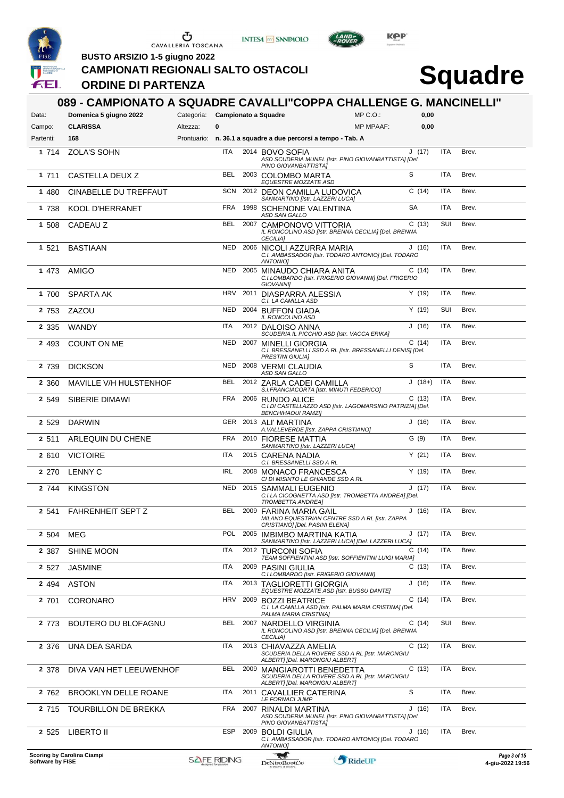





LAND<sub>7</sub>

**BUSTO ARSIZIO 1-5 giugno 2022**

**ORDINE DI PARTENZA**

**CAMPIONATI REGIONALI SALTO OSTACOLI**

| Data:            | 089 - CAMPIONATO A SQUADRE CAVALLI"COPPA CHALLENGE G. MANCINELLI"<br>Domenica 5 giugno 2022 | Categoria: Campionato a Squadre |            |      |                                                                   | $MP C. O.$ :                                              | 0,00      |            |       |                                  |
|------------------|---------------------------------------------------------------------------------------------|---------------------------------|------------|------|-------------------------------------------------------------------|-----------------------------------------------------------|-----------|------------|-------|----------------------------------|
| Campo:           | <b>CLARISSA</b>                                                                             | Altezza:                        | 0          |      |                                                                   | <b>MP MPAAF:</b>                                          | 0,00      |            |       |                                  |
| Partenti:        | 168                                                                                         |                                 |            |      | Prontuario: n. 36.1 a squadre a due percorsi a tempo - Tab. A     |                                                           |           |            |       |                                  |
| 1 714            | <b>ZOLA'S SOHN</b>                                                                          |                                 | ITA        |      | 2014 BOVO SOFIA<br>PINO GIOVANBATTISTA]                           | ASD SCUDERIA MUNEL [Istr. PINO GIOVANBATTISTA] [Del.      | J(17)     | ITA        | Brev. |                                  |
| 1 711            | CASTELLA DEUX Z                                                                             |                                 | <b>BEL</b> |      | 2003 COLOMBO MARTA<br>EQUESTRE MOZZATE ASD                        |                                                           | S         | <b>ITA</b> | Brev. |                                  |
| 1 480            | CINABELLE DU TREFFAUT                                                                       |                                 |            |      | SCN 2012 DEON CAMILLA LUDOVICA<br>SANMARTINO [Istr. LAZZERI LUCA] |                                                           | C(14)     | <b>ITA</b> | Brev. |                                  |
| 1 738            | <b>KOOL D'HERRANET</b>                                                                      |                                 | FRA        |      | 1998 SCHENONE VALENTINA<br>ASD SAN GALLO                          |                                                           | <b>SA</b> | <b>ITA</b> | Brev. |                                  |
| 1 508            | CADEAU Z                                                                                    |                                 | BEL        |      | 2007 CAMPONOVO VITTORIA<br><b>CECILIA]</b>                        | IL RONCOLINO ASD [Istr. BRENNA CECILIA] [Del. BRENNA      | C(13)     | SUI        | Brev. |                                  |
| 1 521            | <b>BASTIAAN</b>                                                                             |                                 |            |      | NED 2006 NICOLI AZZURRA MARIA<br><b>ANTONIOI</b>                  | C.I. AMBASSADOR [Istr. TODARO ANTONIO] [Del. TODARO       | J(16)     | <b>ITA</b> | Brev. |                                  |
| 1 473            | AMIGO                                                                                       |                                 |            |      | NED 2005 MINAUDO CHIARA ANITA<br><b>GIOVANNII</b>                 | C.I.LOMBARDO [Istr. FRIGERIO GIOVANNI] [Del. FRIGERIO     | C(14)     | <b>ITA</b> | Brev. |                                  |
| 1 700            | <b>SPARTA AK</b>                                                                            |                                 |            |      | HRV 2011 DIASPARRA ALESSIA<br>C.I. LA CAMILLA ASD                 |                                                           | Y(19)     | ITA        | Brev. |                                  |
| 2 753            | ZAZOU                                                                                       |                                 | NED        |      | 2004 BUFFON GIADA<br>IL RONCOLINO ASD                             |                                                           | Y(19)     | SUI        | Brev. |                                  |
| 2 3 3 5          | WANDY                                                                                       |                                 | ITA        |      | 2012 DALOISO ANNA                                                 | SCUDERIA IL PICCHIO ASD [Istr. VACCA ERIKA]               | J(16)     | <b>ITA</b> | Brev. |                                  |
| 2 4 9 3          | <b>COUNT ON ME</b>                                                                          |                                 | <b>NED</b> |      | 2007 MINELLI GIORGIA<br><b>PRESTINI GIULIAI</b>                   | C.I. BRESSANELLI SSD A RL [Istr. BRESSANELLI DENIS] [Del. | C(14)     | <b>ITA</b> | Brev. |                                  |
| 2 739            | <b>DICKSON</b>                                                                              |                                 | <b>NED</b> |      | 2008 VERMI CLAUDIA<br>ASD SAN GALLO                               |                                                           | S         | <b>ITA</b> | Brev. |                                  |
| 2 3 6 0          | MAVILLE V/H HULSTENHOF                                                                      |                                 | <b>BEL</b> |      | 2012 ZARLA CADEI CAMILLA                                          | S.I.FRANCIACORTA [Istr. MINUTI FEDERICO]                  | $J(18+)$  | <b>ITA</b> | Brev. |                                  |
| 2 549            | <b>SIBERIE DIMAWI</b>                                                                       |                                 | <b>FRA</b> |      | 2006 RUNDO ALICE<br><b>BENCHIHAOUI RAMZI]</b>                     | C.I.DI CASTELLAZZO ASD [Istr. LAGOMARSINO PATRIZIA] [Del. | C(13)     | ITA        | Brev. |                                  |
| 2 5 2 9          | <b>DARWIN</b>                                                                               |                                 |            |      | GER 2013 ALI' MARTINA                                             | A. VALLEVERDE [Istr. ZAPPA CRISTIANO]                     | J(16)     | <b>ITA</b> | Brev. |                                  |
| 2 511            | ARLEQUIN DU CHENE                                                                           |                                 | <b>FRA</b> |      | 2010 FIORESE MATTIA<br>SANMARTINO [Istr. LAZZERI LUCA]            |                                                           | G(9)      | <b>ITA</b> | Brev. |                                  |
| 2 610            | <b>VICTOIRE</b>                                                                             |                                 | <b>ITA</b> |      | 2015 CARENA NADIA<br>C.I. BRESSANELLI SSD A RL                    |                                                           | Y(21)     | <b>ITA</b> | Brev. |                                  |
| 2 2 7 0          | <b>LENNY C</b>                                                                              |                                 | <b>IRL</b> |      | 2008 MONACO FRANCESCA<br>CI DI MISINTO LE GHIANDE SSD A RL        |                                                           | Y(19)     | <b>ITA</b> | Brev. |                                  |
| 2 744            | <b>KINGSTON</b>                                                                             |                                 | <b>NED</b> |      | 2015 SAMMALI EUGENIO<br><b>TROMBETTA ANDREA]</b>                  | C.I.LA CICOGNETTA ASD [Istr. TROMBETTA ANDREA] [Del.      | J(17)     | <b>ITA</b> | Brev. |                                  |
| 2 541            | <b>FAHRENHEIT SEPT Z</b>                                                                    |                                 | BEL        |      | 2009 FARINA MARIA GAIL<br>CRISTIANO] [Del. PASINI ELENAj          | MILANO EQUESTRIAN CENTRE SSD A RL [Istr. ZAPPA            | J(16)     | ITA        | Brev. |                                  |
| 2 504            | MEG                                                                                         |                                 | POL        |      | 2005 IMBIMBO MARTINA KATIA                                        | SANMARTINO [Istr. LAZZERI LUCA] [Del. LAZZERI LUCA]       | J (17)    | ITA        | Brev. |                                  |
| 2 387            | <b>SHINE MOON</b>                                                                           |                                 | <b>ITA</b> |      | 2012 TURCONI SOFIA                                                | TEAM SOFFIENTINI ASD [Istr. SOFFIENTINI LUIGI MARIA]      | C(14)     | <b>ITA</b> | Brev. |                                  |
| 2 5 2 7          | <b>JASMINE</b>                                                                              |                                 | ITA        | 2009 | PASINI GIULIA                                                     | C.I.LOMBARDO [Istr. FRIGERIO GIOVANNI]                    | C(13)     | <b>ITA</b> | Brev. |                                  |
| 2 4 9 4          | <b>ASTON</b>                                                                                |                                 | ITA        |      | 2013 TAGLIORETTI GIORGIA                                          | EQUESTRE MOZZATE ASD [Istr. BUSSU DANTE]                  | J (16)    | <b>ITA</b> | Brev. |                                  |
| 2 701            | CORONARO                                                                                    |                                 | <b>HRV</b> |      | 2009 BOZZI BEATRICE<br>PALMA MARIA CRISTINA]                      | C.I. LA CAMILLA ASD [Istr. PALMA MARIA CRISTINA] [Del.    | C(14)     | <b>ITA</b> | Brev. |                                  |
| 2 773            | BOUTERO DU BLOFAGNU                                                                         |                                 | BEL        | 2007 | NARDELLO VIRGINIA<br><b>CECILIA1</b>                              | IL RONCOLINO ASD [Istr. BRENNA CECILIA] [Del. BRENNA      | C(14)     | SUI        | Brev. |                                  |
| 2 376            | UNA DEA SARDA                                                                               |                                 | ITA        |      | 2013 CHIAVAZZA AMELIA<br>ALBERT] [Del. MARONGIU ALBERT]           | SCUDERIA DELLA ROVERE SSD A RL [Istr. MARONGIU            | C(12)     | ITA        | Brev. |                                  |
| 2 378            | DIVA VAN HET LEEUWENHOF                                                                     |                                 | <b>BEL</b> |      | 2009 MANGIAROTTI BENEDETTA<br>ALBERT] [Del. MARONGIU ALBERT]      | SCUDERIA DELLA ROVERE SSD A RL [Istr. MARONGIU            | C(13)     | ITA        | Brev. |                                  |
| 2 762            | <b>BROOKLYN DELLE ROANE</b>                                                                 |                                 | ITA        | 2011 | CAVALLIER CATERINA<br><b>LE FORNACI JUMP</b>                      |                                                           | S         | <b>ITA</b> | Brev. |                                  |
| 2 715            | TOURBILLON DE BREKKA                                                                        |                                 | <b>FRA</b> | 2007 | RINALDI MARTINA<br>PINO GIOVANBATTISTA]                           | ASD SCUDERIA MUNEL [Istr. PINO GIOVANBATTISTA] [Del.      | J (16)    | ITA        | Brev. |                                  |
| 2 5 2 5          | LIBERTO II                                                                                  |                                 | ESP        |      | 2009 BOLDI GIULIA<br>ANTONIO]                                     | C.I. AMBASSADOR [Istr. TODARO ANTONIO] [Del. TODARO       | J (16)    | ITA        | Brev. |                                  |
| Software by FISE | Scoring by Carolina Ciampi                                                                  | <b>SAFE RIDING</b>              |            |      | Æ<br>DeNiroBootCo                                                 | RideUP                                                    |           |            |       | Page 3 of 15<br>4-giu-2022 19:56 |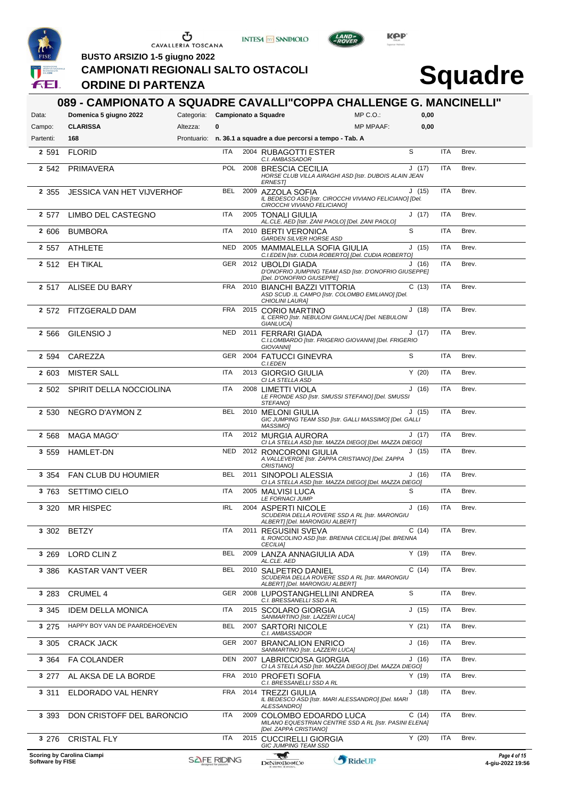





LAND-<br>EPOVER

**BUSTO ARSIZIO 1-5 giugno 2022**

**CAMPIONATI REGIONALI SALTO OSTACOLI**

### **ORDINE DI PARTENZA**

| Data:            | Domenica 5 giugno 2022           | Categoria: Campionato a Squadre |            |      |                                                                                                             | $MP C. O.$ :     | 0,00   |            |       |                                  |
|------------------|----------------------------------|---------------------------------|------------|------|-------------------------------------------------------------------------------------------------------------|------------------|--------|------------|-------|----------------------------------|
| Campo:           | <b>CLARISSA</b>                  | 0<br>Altezza:                   |            |      |                                                                                                             | <b>MP MPAAF:</b> | 0,00   |            |       |                                  |
| Partenti:        | 168                              |                                 |            |      | Prontuario: n. 36.1 a squadre a due percorsi a tempo - Tab. A                                               |                  | S      |            |       |                                  |
| 2 5 9 1          | <b>FLORID</b>                    |                                 | ITA        |      | 2004 RUBAGOTTI ESTER<br>C.I. AMBASSADOR                                                                     |                  |        | <b>ITA</b> | Brev. |                                  |
| 2 5 4 2          | PRIMAVERA                        |                                 | <b>POL</b> |      | 2008 BRESCIA CECILIA<br>HORSE CLUB VILLA AIRAGHI ASD [Istr. DUBOIS ALAIN JEAN<br><b>ERNESTI</b>             |                  | J(17)  | <b>ITA</b> | Brev. |                                  |
| 2 3 5 5          | <b>JESSICA VAN HET VIJVERHOF</b> |                                 | <b>BEL</b> |      | 2009 AZZOLA SOFIA<br>IL BEDESCO ASD [Istr. CIROCCHI VIVIANO FELICIANO] [Del.<br>CIROCCHI VIVIANO FELICIANO] |                  | J(15)  | ITA        | Brev. |                                  |
| 2 577            | LIMBO DEL CASTEGNO               |                                 | ITA        |      | 2005 TONALI GIULIA<br>AL.CLE. AED [Istr. ZANI PAOLO] [Del. ZANI PAOLO]                                      |                  | J(17)  | ITA        | Brev. |                                  |
| 2 606            | <b>BUMBORA</b>                   |                                 | ITA        |      | 2010 BERTI VERONICA<br>GARDEN SILVER HORSE ASD                                                              |                  | S      | <b>ITA</b> | Brev. |                                  |
| 2 5 5 7          | <b>ATHLETE</b>                   |                                 | <b>NED</b> |      | 2005 MAMMALELLA SOFIA GIULIA<br>C.I.EDEN [Istr. CUDIA ROBERTO] [Del. CUDIA ROBERTO]                         |                  | J(15)  | ITA        | Brev. |                                  |
|                  | 2 512 EH TIKAL                   |                                 | GER        |      | 2012 UBOLDI GIADA<br>D'ONOFRIO JUMPING TEAM ASD [Istr. D'ONOFRIO GIUSEPPE]<br>[Del. D'ONOFRIO GIUSEPPE]     |                  | J(16)  | ITA        | Brev. |                                  |
| 2 517            | ALISEE DU BARY                   |                                 | <b>FRA</b> |      | 2010 BIANCHI BAZZI VITTORIA<br>ASD SCUD .IL CAMPO [Istr. COLOMBO EMILIANO] [Del.<br>CHIOLINI LAURA]         |                  | C(13)  | ITA        | Brev. |                                  |
|                  | 2 572 FITZGERALD DAM             |                                 | <b>FRA</b> |      | 2015 CORIO MARTINO<br>IL CERRO [Istr. NEBULONI GIANLUCA] [Del. NEBULONI<br>GIANLUCA]                        |                  | J(18)  | ITA        | Brev. |                                  |
| 2 5 6 6          | <b>GILENSIO J</b>                |                                 | <b>NED</b> |      | 2011 FERRARI GIADA<br>C.I.LOMBARDO [Istr. FRIGERIO GIOVANNI] [Del. FRIGERIO<br><b>GIOVANNII</b>             |                  | J(17)  | ITA        | Brev. |                                  |
| 2 5 9 4          | CAREZZA                          |                                 |            |      | GER 2004 FATUCCI GINEVRA<br>C.I.EDEN                                                                        |                  | S      | <b>ITA</b> | Brev. |                                  |
| 2 603            | <b>MISTER SALL</b>               |                                 | ITA        |      | 2013 GIORGIO GIULIA<br>CI LA STELLA ASD                                                                     |                  | Y(20)  | ITA        | Brev. |                                  |
| 2 502            | SPIRIT DELLA NOCCIOLINA          |                                 | ITA        |      | 2008 LIMETTI VIOLA<br>LE FRONDE ASD [Istr. SMUSSI STEFANO] [Del. SMUSSI<br>STEFANO]                         |                  | J(16)  | <b>ITA</b> | Brev. |                                  |
| 2 5 3 0          | NEGRO D'AYMON Z                  |                                 | BEL        |      | 2010 MELONI GIULIA<br>GIC JUMPING TEAM SSD [Istr. GALLI MASSIMO] [Del. GALLI<br>MASSIMO]                    |                  | J(15)  | ITA        | Brev. |                                  |
| 2 5 6 8          | <b>MAGA MAGO'</b>                |                                 | ITA        |      | 2012 MURGIA AURORA<br>CI LA STELLA ASD [Istr. MAZZA DIEGO] [Del. MAZZA DIEGO]                               |                  | J (17) | ITA        | Brev. |                                  |
| 3 5 5 9          | <b>HAMLET-DN</b>                 |                                 | <b>NED</b> |      | 2012 RONCORONI GIULIA<br>A. VALLEVERDE [Istr. ZAPPA CRISTIANO] [Del. ZAPPA<br><b>CRISTIANO1</b>             |                  | J(15)  | ITA        | Brev. |                                  |
| 3 3 5 4          | <b>FAN CLUB DU HOUMIER</b>       |                                 | BEL        |      | 2011 SINOPOLI ALESSIA<br>CI LA STELLA ASD [Istr. MAZZA DIEGO] [Del. MAZZA DIEGO]                            |                  | J(16)  | ITA        | Brev. |                                  |
| 3 763            | <b>SETTIMO CIELO</b>             |                                 | <b>ITA</b> |      | 2005 MALVISI LUCA<br><b>LE FORNACI JUMP</b>                                                                 |                  | S      | <b>ITA</b> | Brev. |                                  |
| 3 3 2 0          | <b>MR HISPEC</b>                 |                                 | <b>IRL</b> |      | 2004 ASPERTI NICOLE<br>SCUDERIA DELLA ROVERE SSD A RL [Istr. MARONGIU<br>ALBERT] [Del. MARONGIU ALBERT]     |                  | J(16)  | ITA        | Brev. |                                  |
| 3 302            | <b>BETZY</b>                     |                                 | ITA        |      | 2011 REGUSINI SVEVA<br>IL RONCOLINO ASD [Istr. BRENNA CECILIA] [Del. BRENNA<br><b>CECILIAI</b>              |                  | C(14)  | ITA        | Brev. |                                  |
| 3 2 6 9          | LORD CLIN Z                      |                                 | BEL        |      | 2009 LANZA ANNAGIULIA ADA<br>AL.CLE. AED                                                                    |                  | Y(19)  | <b>ITA</b> | Brev. |                                  |
| 3 3 8 6          | <b>KASTAR VAN'T VEER</b>         |                                 | BEL        |      | 2010 SALPETRO DANIEL<br>SCUDERIA DELLA ROVERE SSD A RL [Istr. MARONGIU<br>ALBERT] [Del. MARONGIU ALBERT]    |                  | C(14)  | ITA        | Brev. |                                  |
| 3 2 8 3          | <b>CRUMEL 4</b>                  |                                 | GER        |      | 2008 LUPOSTANGHELLINI ANDREA<br>C.I. BRESSANELLI SSD A RL                                                   |                  | S      | ITA        | Brev. |                                  |
| 3 3 4 5          | <b>IDEM DELLA MONICA</b>         |                                 | ITA        |      | 2015 SCOLARO GIORGIA                                                                                        |                  | J(15)  | <b>ITA</b> | Brev. |                                  |
| 3 2 7 5          | HAPPY BOY VAN DE PAARDEHOEVEN    |                                 | BEL        | 2007 | SANMARTINO [Istr. LAZZERI LUCA]<br><b>SARTORI NICOLE</b>                                                    |                  | Y(21)  | ITA        | Brev. |                                  |
| 3 3 0 5          | <b>CRACK JACK</b>                |                                 | GER        |      | C.I. AMBASSADOR<br>2007 BRANCALION ENRICO                                                                   |                  | J(16)  | ITA        | Brev. |                                  |
| 3 3 6 4          | <b>FA COLANDER</b>               |                                 | DEN        | 2007 | SANMARTINO [Istr. LAZZERI LUCA]<br>LABRICCIOSA GIORGIA                                                      |                  | J(16)  | ITA        | Brev. |                                  |
| 3 277            | AL AKSA DE LA BORDE              |                                 | <b>FRA</b> |      | CI LA STELLA ASD [Istr. MAZZA DIEGO] [Del. MAZZA DIEGO]<br>2010 PROFETI SOFIA                               |                  | Y(19)  | <b>ITA</b> | Brev. |                                  |
| 3 3 1 1          | ELDORADO VAL HENRY               |                                 | <b>FRA</b> |      | C.I. BRESSANELLI SSD A RL<br>2014 TREZZI GIULIA<br>IL BEDESCO ASD [Istr. MARI ALESSANDRO] [Del. MARI        |                  | J(18)  | ITA        | Brev. |                                  |
| 3 3 9 3          | DON CRISTOFF DEL BARONCIO        |                                 | ITA        | 2009 | ALESSANDRO]<br>COLOMBO EDOARDO LUCA<br>MILANO EQUESTRIAN CENTRE SSD A RL [Istr. PASINI ELENA]               |                  | C(14)  | ITA        | Brev. |                                  |
| 3 2 7 6          | <b>CRISTAL FLY</b>               |                                 | ITA        |      | [Del. ZAPPA CRISTIANO]<br>2015 CUCCIRELLI GIORGIA                                                           |                  | Y(20)  | ITA        | Brev. |                                  |
| Software by FISE | Scoring by Carolina Ciampi       | <b>SAFE RIDING</b>              |            |      | <b>GIC JUMPING TEAM SSD</b><br>w<br><b>DeNiroBootCo</b>                                                     | RideUP           |        |            |       | Page 4 of 15<br>4-giu-2022 19:56 |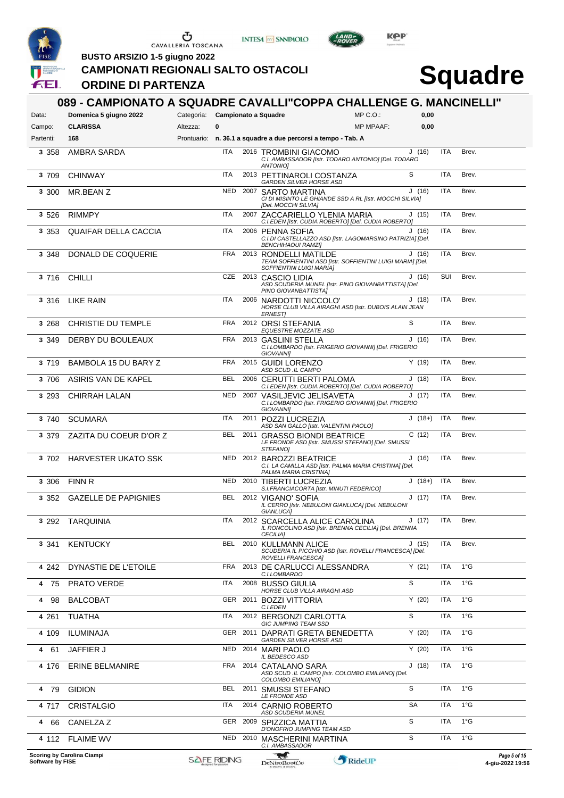





 $L$ AND

**BUSTO ARSIZIO 1-5 giugno 2022**

**ORDINE DI PARTENZA**

**CAMPIONATI REGIONALI SALTO OSTACOLI**

# **Squadre**

| Data:     | 089 - CAMPIONATO A SQUADRE CAVALLI"COPPA CHALLENGE G. MANCINELLI"<br>Domenica 5 giugno 2022 | Categoria: Campionato a Squadre |            |                                                                                                                 | $MP C. O.$ :     | 0,00      |            |               |
|-----------|---------------------------------------------------------------------------------------------|---------------------------------|------------|-----------------------------------------------------------------------------------------------------------------|------------------|-----------|------------|---------------|
| Campo:    | <b>CLARISSA</b>                                                                             | Altezza:                        | 0          |                                                                                                                 | <b>MP MPAAF:</b> | 0,00      |            |               |
| Partenti: | 168                                                                                         |                                 |            | Prontuario: n. 36.1 a squadre a due percorsi a tempo - Tab. A                                                   |                  |           |            |               |
| 3 3 5 8   | <b>AMBRA SARDA</b>                                                                          |                                 | <b>ITA</b> | 2016 TROMBINI GIACOMO<br>C.I. AMBASSADOR [Istr. TODARO ANTONIO] [Del. TODARO<br><b>ANTONIOI</b>                 |                  | J(16)     | <b>ITA</b> | Brev.         |
| 3 709     | <b>CHINWAY</b>                                                                              |                                 | ITA        | 2013 PETTINAROLI COSTANZA<br><b>GARDEN SILVER HORSE ASD</b>                                                     |                  | S         | <b>ITA</b> | Brev.         |
| 3 300     | MR.BEAN Z                                                                                   |                                 | <b>NED</b> | 2007 SARTO MARTINA<br>CI DI MISINTO LE GHIANDE SSD A RL [Istr. MOCCHI SILVIA]<br>[Del. MOCCHI SILVIA]           |                  | J(16)     | <b>ITA</b> | Brev.         |
| 3 5 2 6   | <b>RIMMPY</b>                                                                               |                                 | ITA        | 2007 ZACCARIELLO YLENIA MARIA<br>C.I.EDEN [Istr. CUDIA ROBERTO] [Del. CUDIA ROBERTO]                            |                  | J(15)     | <b>ITA</b> | Brev.         |
| 3 3 5 3   | <b>QUAIFAR DELLA CACCIA</b>                                                                 |                                 | ITA        | 2006 PENNA SOFIA<br>C.I.DI CASTELLAZZO ASD [Istr. LAGOMARSINO PATRIZIA] [Del.<br><b>BENCHIHAOUI RAMZI]</b>      |                  | J(16)     | <b>ITA</b> | Brev.         |
| 3 3 4 8   | DONALD DE COQUERIE                                                                          |                                 | <b>FRA</b> | 2013 RONDELLI MATILDE<br>TEAM SOFFIENTINI ASD [Istr. SOFFIENTINI LUIGI MARIA] [Del.<br>SOFFIENTINI LUIGI MARIA] |                  | J(16)     | <b>ITA</b> | Brev.         |
| 3 7 1 6   | <b>CHILLI</b>                                                                               |                                 | CZE        | 2013 CASCIO LIDIA<br>ASD SCUDERIA MUNEL [Istr. PINO GIOVANBATTISTA] [Del.<br>PINO GIOVANBATTISTAI               |                  | J(16)     | SUI        | Brev.         |
| 3 3 1 6   | LIKE RAIN                                                                                   |                                 | ITA        | 2006 NARDOTTI NICCOLO'<br>HORSE CLUB VILLA AIRAGHI ASD [Istr. DUBOIS ALAIN JEAN<br>ERNEST]                      |                  | J(18)     | <b>ITA</b> | Brev.         |
| 3 2 6 8   | <b>CHRISTIE DU TEMPLE</b>                                                                   |                                 | <b>FRA</b> | 2012 ORSI STEFANIA<br>EQUESTRE MOZZATE ASD                                                                      |                  | S         | <b>ITA</b> | Brev.         |
| 3 3 4 9   | DERBY DU BOULEAUX                                                                           |                                 | <b>FRA</b> | 2013 GASLINI STELLA<br>C.I.LOMBARDO [Istr. FRIGERIO GIOVANNI] [Del. FRIGERIO<br>GIOVANNI]                       |                  | J(16)     | <b>ITA</b> | Brev.         |
| 3 7 1 9   | BAMBOLA 15 DU BARY Z                                                                        |                                 | FRA        | 2015 GUIDI LORENZO<br>ASD SCUD .IL CAMPO                                                                        |                  | Y(19)     | <b>ITA</b> | Brev.         |
| 3 706     | ASIRIS VAN DE KAPEL                                                                         |                                 | <b>BEL</b> | 2006 CERUTTI BERTI PALOMA<br>C.I.EDEN [Istr. CUDIA ROBERTO] [Del. CUDIA ROBERTO]                                |                  | J(18)     | <b>ITA</b> | Brev.         |
| 3 2 9 3   | <b>CHIRRAH LALAN</b>                                                                        |                                 | <b>NED</b> | 2007 VASILJEVIC JELISAVETA<br>C.I.LOMBARDO [Istr. FRIGERIO GIOVANNI] [Del. FRIGERIO<br><b>GIOVANNII</b>         |                  | J(17)     | <b>ITA</b> | Brev.         |
| 3 740     | <b>SCUMARA</b>                                                                              |                                 | <b>ITA</b> | 2011 POZZI LUCREZIA<br>ASD SAN GALLO [Istr. VALENTINI PAOLO]                                                    |                  | $J(18+)$  | <b>ITA</b> | Brev.         |
| 3 3 7 9   | ZAZITA DU COEUR D'OR Z                                                                      |                                 | <b>BEL</b> | 2011 GRASSO BIONDI BEATRICE<br>LE FRONDE ASD [Istr. SMUSSI STEFANO] [Del. SMUSSI<br>STEFANO]                    |                  | C(12)     | <b>ITA</b> | Brev.         |
| 3 702     | <b>HARVESTER UKATO SSK</b>                                                                  |                                 | <b>NED</b> | 2012 BAROZZI BEATRICE<br>C.I. LA CAMILLA ASD [Istr. PALMA MARIA CRISTINA] [Del.<br>PALMA MARIA CRISTINA]        |                  | J(16)     | <b>ITA</b> | Brev.         |
| 3 3 0 6   | <b>FINN R</b>                                                                               |                                 | <b>NED</b> | 2010 TIBERTI LUCREZIA<br>S.I.FRANCIACORTA [Istr. MINUTI FEDERICO]                                               |                  | $J(18+)$  | ITA        | Brev.         |
| 3 3 5 2   | <b>GAZELLE DE PAPIGNIES</b>                                                                 |                                 | <b>BEL</b> | 2012 VIGANO' SOFIA<br>IL CERRO [Istr. NEBULONI GIANLUCA] [Del. NEBULONI<br>GIANLUCA]                            |                  | J(17)     | <b>ITA</b> | Brev.         |
| 3 2 9 2   | TARQUINIA                                                                                   |                                 | ITA        | 2012 SCARCELLA ALICE CAROLINA<br>IL RONCOLINO ASD [Istr. BRENNA CECILIA] [Del. BRENNA<br><b>CECILIAI</b>        |                  | J(17)     | ITA        | Brev.         |
| 3 3 4 1   | <b>KENTUCKY</b>                                                                             |                                 | <b>BEL</b> | 2010 KULLMANN ALICE<br>SCUDERIA IL PICCHIO ASD [Istr. ROVELLI FRANCESCA] [Del.<br><b>ROVELLI FRANCESCAI</b>     |                  | J(15)     | <b>ITA</b> | Brev.         |
| 4 242     | DYNASTIE DE L'ETOILE                                                                        |                                 | FRA        | 2013 DE CARLUCCI ALESSANDRA<br>C.I.LOMBARDO                                                                     |                  | Y(21)     | <b>ITA</b> | $1^{\circ}$ G |
| 4 75      | <b>PRATO VERDE</b>                                                                          |                                 | ITA        | 2008 BUSSO GIULIA<br><b>HORSE CLUB VILLA AIRAGHI ASD</b>                                                        |                  | S         | <b>ITA</b> | $1^{\circ}$ G |
| 4 98      | <b>BALCOBAT</b>                                                                             |                                 | GER        | 2011 BOZZI VITTORIA<br>C.I.EDEN                                                                                 |                  | Y(20)     | <b>ITA</b> | $1^{\circ}G$  |
| 4 2 6 1   | <b>TUATHA</b>                                                                               |                                 | <b>ITA</b> | 2012 BERGONZI CARLOTTA<br><b>GIC JUMPING TEAM SSD</b>                                                           |                  | S         | <b>ITA</b> | $1^{\circ}$ G |
| 4 109     | <b>ILUMINAJA</b>                                                                            |                                 |            | GER 2011 DAPRATI GRETA BENEDETTA<br><b>GARDEN SILVER HORSE ASD</b>                                              |                  | Y(20)     | <b>ITA</b> | $1^{\circ}$ G |
| 4<br>-61  | <b>JAFFIER J</b>                                                                            |                                 | NED        | 2014 MARI PAOLO<br>IL BEDESCO ASD                                                                               |                  | Y(20)     | <b>ITA</b> | $1^{\circ}$ G |
| 4 176     | <b>ERINE BELMANIRE</b>                                                                      |                                 | <b>FRA</b> | 2014 CATALANO SARA<br>ASD SCUD .IL CAMPO [Istr. COLOMBO EMILIANO] [Del.<br>COLOMBO EMILIANO)                    |                  | J(18)     | <b>ITA</b> | $1^{\circ}$ G |
| 4 79      | <b>GIDION</b>                                                                               |                                 | BEL        | 2011 SMUSSI STEFANO<br>LE FRONDE ASD                                                                            |                  | S         | <b>ITA</b> | $1^{\circ}$ G |
| 4 717     | <b>CRISTALGIO</b>                                                                           |                                 | ITA        | 2014 CARNIO ROBERTO<br><b>ASD SCUDERIA MUNEL</b>                                                                |                  | <b>SA</b> | <b>ITA</b> | $1^{\circ}$ G |
| 4 66      | CANELZA Z                                                                                   |                                 | GER        | 2009 SPIZZICA MATTIA<br>D'ONOFRIO JUMPING TEAM ASD                                                              |                  | S         | <b>ITA</b> | $1^{\circ}$ G |
|           | 4 112 FLAIME WV                                                                             |                                 | <b>NED</b> | 2010 MASCHERINI MARTINA<br>C.I. AMBASSADOR                                                                      |                  | S         | <b>ITA</b> | $1^{\circ}$ G |

**Scoring by Carolina Ciampi Software by FISE 4-giu-2022 19:56**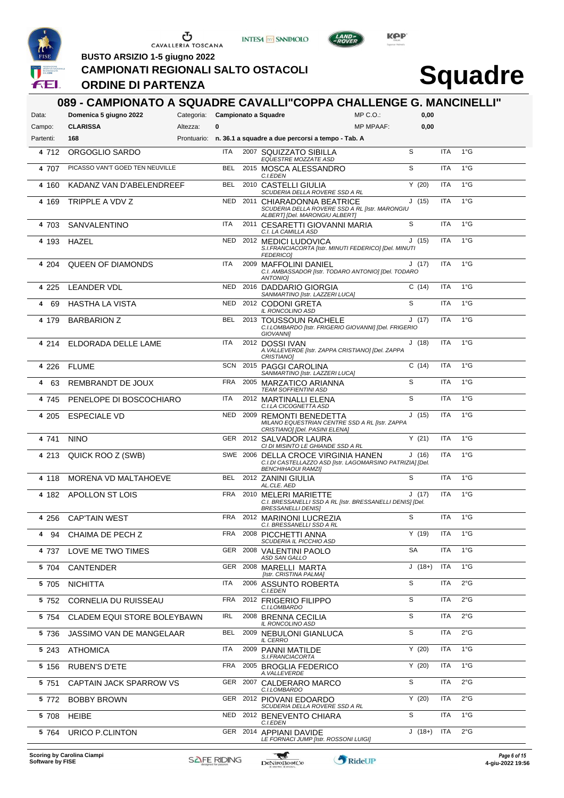





 $L$ AND

**BUSTO ARSIZIO 1-5 giugno 2022**

#### **CAMPIONATI REGIONALI SALTO OSTACOLI**

### **ORDINE DI PARTENZA**

| Data:     | 089 - CAMPIONATO A SQUADRE CAVALLI"COPPA CHALLENGE G. MANCINELLI"<br>Domenica 5 giugno 2022 | Categoria: Campionato a Squadre |            |                                                                                                                               | $MP C. O.$ :     | 0,00     |            |               |
|-----------|---------------------------------------------------------------------------------------------|---------------------------------|------------|-------------------------------------------------------------------------------------------------------------------------------|------------------|----------|------------|---------------|
| Campo:    | <b>CLARISSA</b>                                                                             | Altezza:                        | 0          |                                                                                                                               | <b>MP MPAAF:</b> | 0,00     |            |               |
| Partenti: | 168                                                                                         |                                 |            | Prontuario: n. 36.1 a squadre a due percorsi a tempo - Tab. A                                                                 |                  |          |            |               |
| 4 712     | ORGOGLIO SARDO                                                                              |                                 | ITA        | 2007 SQUIZZATO SIBILLA<br>EQUESTRE MOZZATE ASD                                                                                |                  | S        | <b>ITA</b> | $1^{\circ}$ G |
| 4 707     | PICASSO VAN'T GOED TEN NEUVILLE                                                             |                                 | <b>BEL</b> | 2015 MOSCA ALESSANDRO<br>C.I.EDEN                                                                                             |                  | S        | <b>ITA</b> | $1^{\circ}$ G |
| 4 160     | KADANZ VAN D'ABELENDREEF                                                                    |                                 | <b>BEL</b> | 2010 CASTELLI GIULIA<br>SCUDERIA DELLA ROVERE SSD A RL                                                                        |                  | Y(20)    | <b>ITA</b> | $1^{\circ}$ G |
| 4 169     | TRIPPLE A VDV Z                                                                             |                                 | NED        | 2011 CHIARADONNA BEATRICE<br>SCUDERIA DELLA ROVERE SSD A RL [Istr. MARONGIU<br>ALBERT] [Del. MARONGIU ALBERT]                 |                  | J(15)    | <b>ITA</b> | $1^{\circ}$ G |
| 4 703     | SANVALENTINO                                                                                |                                 | ITA        | 2011 CESARETTI GIOVANNI MARIA<br>C.I. LA CAMILLA ASD                                                                          |                  | S        | <b>ITA</b> | $1^{\circ}$ G |
| 4 193     | <b>HAZEL</b>                                                                                |                                 | NED        | 2012 MEDICI LUDOVICA<br>S.I.FRANCIACORTA [Istr. MINUTI FEDERICO] [Del. MINUTI<br><b>FEDERICO1</b>                             |                  | J(15)    | <b>ITA</b> | $1^{\circ}$ G |
| 4 204     | <b>QUEEN OF DIAMONDS</b>                                                                    |                                 | ITA        | 2009 MAFFOLINI DANIEL<br>C.I. AMBASSADOR [Istr. TODARO ANTONIO] [Del. TODARO<br>ANTONIO]                                      |                  | J(17)    | <b>ITA</b> | $1^{\circ}$ G |
| 4 2 2 5   | LEANDER VDL                                                                                 |                                 | NED        | 2016 DADDARIO GIORGIA<br>SANMARTINO [Istr. LAZZERI LUCA]                                                                      |                  | C(14)    | <b>ITA</b> | $1^{\circ}$ G |
| 4<br>69   | <b>HASTHA LA VISTA</b>                                                                      |                                 | NED        | 2012 CODONI GRETA<br>IL RONCOLINO ASD                                                                                         |                  | S        | <b>ITA</b> | $1^{\circ}$ G |
| 4 179     | <b>BARBARION Z</b>                                                                          |                                 | <b>BEL</b> | 2013 TOUSSOUN RACHELE<br>C.I.LOMBARDO [Istr. FRIGERIO GIOVANNI] [Del. FRIGERIO<br>GIOVANNI]                                   |                  | J(17)    | <b>ITA</b> | $1^{\circ}$ G |
| 4 2 1 4   | ELDORADA DELLE LAME                                                                         |                                 | <b>ITA</b> | 2012 DOSSI IVAN<br>A. VALLEVERDE [Istr. ZAPPA CRISTIANO] [Del. ZAPPA<br>CRISTIANO]                                            |                  | J(18)    | <b>ITA</b> | $1^{\circ}$ G |
| 4 2 2 6   | <b>FLUME</b>                                                                                |                                 | <b>SCN</b> | 2015 PAGGI CAROLINA<br>SANMARTINO [Istr. LAZZERI LUCA]                                                                        |                  | C(14)    | <b>ITA</b> | $1^{\circ}$ G |
| 4<br>63   | REMBRANDT DE JOUX                                                                           |                                 | <b>FRA</b> | 2005 MARZATICO ARIANNA<br><b>TEAM SOFFIENTINI ASD</b>                                                                         |                  | S        | <b>ITA</b> | $1^{\circ}$ G |
| 4 745     | PENELOPE DI BOSCOCHIARO                                                                     |                                 | ITA        | 2012 MARTINALLI ELENA<br>C.I.LA CICOGNETTA ASD                                                                                |                  | S        | <b>ITA</b> | $1^{\circ}$ G |
| 4 205     | <b>ESPECIALE VD</b>                                                                         |                                 | <b>NED</b> | 2009 REMONTI BENEDETTA<br>MILANO EQUESTRIAN CENTRE SSD A RL [Istr. ZAPPA<br>CRISTIANO] [Del. PASINI ELENA]                    |                  | J(15)    | <b>ITA</b> | $1^{\circ}$ G |
| 4 741     | <b>NINO</b>                                                                                 |                                 |            | GER 2012 SALVADOR LAURA<br>CI DI MISINTO LE GHIANDE SSD A RL                                                                  |                  | Y(21)    | <b>ITA</b> | $1^{\circ}$ G |
| 4 213     | QUICK ROO Z (SWB)                                                                           |                                 |            | SWE 2006 DELLA CROCE VIRGINIA HANEN<br>C.I.DI CASTELLAZZO ASD [Istr. LAGOMARSINO PATRIZIA] [Del.<br><b>BENCHIHAOUI RAMZI]</b> |                  | J(16)    | <b>ITA</b> | $1^{\circ}$ G |
| 4 1 1 8   | MORENA VD MALTAHOEVE                                                                        |                                 | <b>BEL</b> | 2012 ZANINI GIULIA<br>AL.CLE. AED                                                                                             |                  | S        | <b>ITA</b> | $1^{\circ}$ G |
| 4 182     | APOLLON ST LOIS                                                                             |                                 | <b>FRA</b> | 2010 MELERI MARIETTE<br>C.I. BRESSANELLI SSD A RL [Istr. BRESSANELLI DENIS] [Del.<br><b>BRESSANELLI DENIS]</b>                |                  | J(17)    | <b>ITA</b> | $1^{\circ}$ G |
| 4 256     | <b>CAP'TAIN WEST</b>                                                                        |                                 |            | FRA 2012 MARINONI LUCREZIA<br>C.I. BRESSANELLI SSD A RL                                                                       |                  | S        | ITA        | $1^{\circ}$ G |
| 4 94      | CHAIMA DE PECH Z                                                                            |                                 | FRA        | 2008 PICCHETTI ANNA<br><b>SCUDERIA IL PICCHIO ASD</b>                                                                         |                  | Y (19)   | ITA        | $1^{\circ}$ G |
| 4 737     | LOVE ME TWO TIMES                                                                           |                                 | GER        | 2008 VALENTINI PAOLO<br>ASD SAN GALLO                                                                                         |                  | SA       | ITA        | $1^{\circ}$ G |
| 5 704     | <b>CANTENDER</b>                                                                            |                                 | GER        | 2008 MARELLI MARTA<br>[Istr. CRISTINA PALMA]                                                                                  |                  | $J(18+)$ | <b>ITA</b> | $1^{\circ}$ G |
| 5 705     | <b>NICHITTA</b>                                                                             |                                 | ITA        | 2006 ASSUNTO ROBERTA<br>C.I.EDEN                                                                                              |                  | S        | <b>ITA</b> | $2^{\circ}$ G |
| 5 7 5 2   | CORNELIA DU RUISSEAU                                                                        |                                 | <b>FRA</b> | 2012 FRIGERIO FILIPPO<br>C.I.LOMBARDO                                                                                         |                  | S        | <b>ITA</b> | 2°G           |
| 5 7 5 4   | CLADEM EQUI STORE BOLEYBAWN                                                                 |                                 | IRL        | 2008 BRENNA CECILIA<br>IL RONCOLINO ASD                                                                                       |                  | S        | <b>ITA</b> | $2^{\circ}$ G |
| 5 7 3 6   | JASSIMO VAN DE MANGELAAR                                                                    |                                 | BEL        | 2009 NEBULONI GIANLUCA<br><b>IL CERRO</b>                                                                                     |                  | S        | <b>ITA</b> | $2^{\circ}$ G |
| 5 2 4 3   | ATHOMICA                                                                                    |                                 | ITA        | 2009 PANNI MATILDE<br>S.I.FRANCIACORTA                                                                                        |                  | Y(20)    | <b>ITA</b> | $1^{\circ}$ G |
| 5 1 5 6   | <b>RUBEN'S D'ETE</b>                                                                        |                                 | FRA        | 2005 BROGLIA FEDERICO<br>A.VALLEVERDE                                                                                         |                  | Y(20)    | ITA        | $1^{\circ}$ G |
| 5 751     | CAPTAIN JACK SPARROW VS                                                                     |                                 |            | GER 2007 CALDERARO MARCO<br>C.I.LOMBARDO                                                                                      |                  | S        | <b>ITA</b> | $2^{\circ}$ G |
| 5 772     | <b>BOBBY BROWN</b>                                                                          |                                 | GER        | 2012 PIOVANI EDOARDO<br>SCUDERIA DELLA ROVERE SSD A RL                                                                        |                  | Y(20)    | <b>ITA</b> | $2^{\circ}$ G |
| 5 708     | <b>HEIBE</b>                                                                                |                                 | NED        | 2012 BENEVENTO CHIARA                                                                                                         |                  | S        | <b>ITA</b> | $1^{\circ}$ G |
| 5 764     | URICO P.CLINTON                                                                             |                                 |            | C.I.EDEN<br>GER 2014 APPIANI DAVIDE<br>LE FORNACI JUMP [Istr. ROSSONI LUIGI]                                                  |                  | $J(18+)$ | <b>ITA</b> | $2^{\circ}$ G |

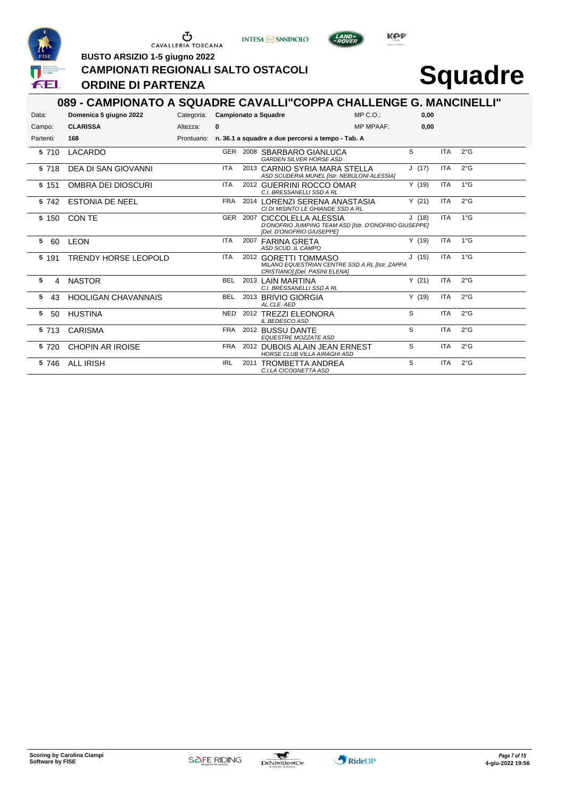





LAND<sub>E</sub>

**BUSTO ARSIZIO 1-5 giugno 2022**

#### **CAMPIONATI REGIONALI SALTO OSTACOLI**

### **ORDINE DI PARTENZA**

|           | 089 - CAMPIONATO A SQUADRE CAVALLI"COPPA CHALLENGE G. MANCINELLI" |                                 |            |                                                                                                                   |                  |       |            |               |
|-----------|-------------------------------------------------------------------|---------------------------------|------------|-------------------------------------------------------------------------------------------------------------------|------------------|-------|------------|---------------|
| Data:     | Domenica 5 giugno 2022                                            | Categoria: Campionato a Squadre |            |                                                                                                                   | MP C. O.         | 0.00  |            |               |
| Campo:    | <b>CLARISSA</b>                                                   | Altezza:                        | 0          |                                                                                                                   | <b>MP MPAAF:</b> | 0.00  |            |               |
| Partenti: | 168                                                               |                                 |            | Prontuario: n. 36.1 a squadre a due percorsi a tempo - Tab. A                                                     |                  |       |            |               |
| 5 710     | LACARDO                                                           |                                 | GER        | 2008 SBARBARO GIANLUCA<br><b>GARDEN SILVER HORSE ASD</b>                                                          |                  | S     | <b>ITA</b> | 2°G           |
| 5 718     | DEA DI SAN GIOVANNI                                               |                                 | <b>ITA</b> | 2013 CARNIO SYRIA MARA STELLA<br>ASD SCUDERIA MUNEL [Istr. NEBULONI ALESSIA]                                      |                  | J(17) | <b>ITA</b> | $2^{\circ}$ G |
| 5 1 5 1   | OMBRA DEI DIOSCURI                                                |                                 | <b>ITA</b> | 2012 GUERRINI ROCCO OMAR<br>C.I. BRESSANELLI SSD A RL                                                             |                  | Y(19) | <b>ITA</b> | 1°G           |
| 5 742     | <b>ESTONIA DE NEEL</b>                                            |                                 | FRA        | 2014 LORENZI SERENA ANASTASIA<br>CI DI MISINTO LE GHIANDE SSD A RL                                                |                  | Y(21) | <b>ITA</b> | 2°G           |
| 5 150     | CON TE                                                            |                                 |            | GER 2007 CICCOLELLA ALESSIA<br>D'ONOFRIO JUMPING TEAM ASD [Istr. D'ONOFRIO GIUSEPPE]<br>[Del. D'ONOFRIO GIUSEPPE] |                  | J(18) | <b>ITA</b> | $1^{\circ}$ G |
| 5<br>60   | <b>LEON</b>                                                       |                                 | <b>ITA</b> | 2007 FARINA GRETA<br>ASD SCUD .IL CAMPO                                                                           |                  | Y(19) | <b>ITA</b> | $1^{\circ}$ G |
| 5 191     | <b>TRENDY HORSE LEOPOLD</b>                                       |                                 | <b>ITA</b> | 2012 GORETTI TOMMASO<br>MILANO EQUESTRIAN CENTRE SSD A RL [Istr. ZAPPA<br>CRISTIANO] [Del. PASINI ELENA]          |                  | J(15) | <b>ITA</b> | $1^{\circ}$ G |
| 5<br>4    | <b>NASTOR</b>                                                     |                                 | <b>BEL</b> | 2013 LAIN MARTINA<br>C.I. BRESSANELLI SSD A RL                                                                    |                  | Y(21) | <b>ITA</b> | 2°G           |
| 5<br>43   | <b>HOOLIGAN CHAVANNAIS</b>                                        |                                 | <b>BEL</b> | 2013 BRIVIO GIORGIA<br>AL.CLE. AED                                                                                |                  | Y(19) | <b>ITA</b> | 2°G           |
| 5<br>50   | <b>HUSTINA</b>                                                    |                                 | <b>NED</b> | 2012 TREZZI ELEONORA<br><b>IL BEDESCO ASD</b>                                                                     |                  | S     | <b>ITA</b> | $2^{\circ}$ G |
| 5 713     | <b>CARISMA</b>                                                    |                                 | <b>FRA</b> | 2012 BUSSU DANTE<br><b>EQUESTRE MOZZATE ASD</b>                                                                   |                  | S     | <b>ITA</b> | 2°G           |
| 5 720     | <b>CHOPIN AR IROISE</b>                                           |                                 | <b>FRA</b> | 2012 DUBOIS ALAIN JEAN ERNEST<br><b>HORSE CLUB VILLA AIRAGHI ASD</b>                                              |                  | S     | <b>ITA</b> | $2^{\circ}$ G |
| 5 746     | ALL IRISH                                                         |                                 | <b>IRL</b> | 2011 TROMBETTA ANDREA<br>C.I.LA CICOGNETTA ASD                                                                    |                  | S     | <b>ITA</b> | 2°G           |

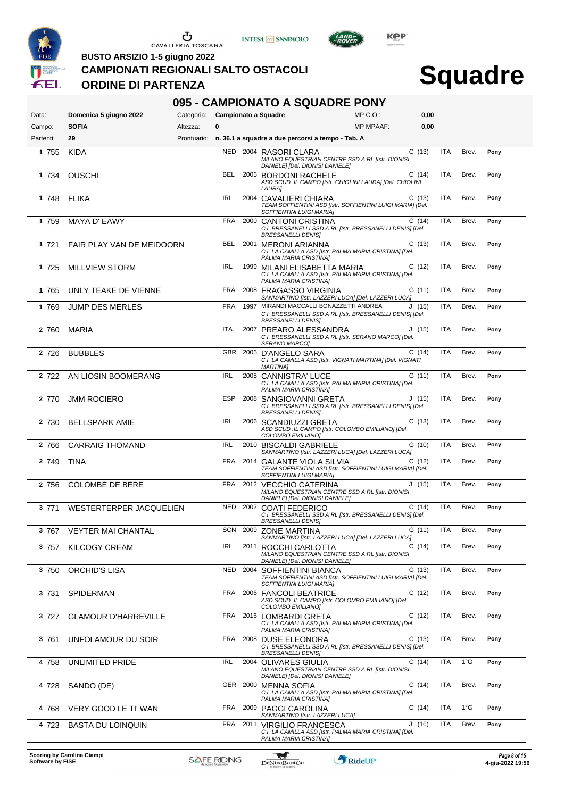





LAND<sub>E</sub>

**BUSTO ARSIZIO 1-5 giugno 2022**

#### **CAMPIONATI REGIONALI SALTO OSTACOLI**

#### **ORDINE DI PARTENZA**

|           |                             |                                 |            | 095 - CAMPIONATO A SQUADRE PONY                                                                                                   |                  |       |            |               |      |
|-----------|-----------------------------|---------------------------------|------------|-----------------------------------------------------------------------------------------------------------------------------------|------------------|-------|------------|---------------|------|
| Data:     | Domenica 5 giugno 2022      | Categoria: Campionato a Squadre |            |                                                                                                                                   | $MP C. O.$ :     | 0,00  |            |               |      |
| Campo:    | <b>SOFIA</b>                | Altezza:                        | 0          |                                                                                                                                   | <b>MP MPAAF:</b> | 0,00  |            |               |      |
| Partenti: | 29                          |                                 |            | Prontuario: n. 36.1 a squadre a due percorsi a tempo - Tab. A                                                                     |                  |       |            |               |      |
| 1 755     | <b>KIDA</b>                 |                                 |            | NED 2004 RASORI CLARA<br>MILANO EQUESTRIAN CENTRE SSD A RL [Istr. DIONISI<br>DANIELE] [Del. DIONISI DANIELE]                      |                  | C(13) | <b>ITA</b> | Brev.         | Pony |
| 1 734     | <b>OUSCHI</b>               |                                 | BEL        | 2005 BORDONI RACHELE<br>ASD SCUD .IL CAMPO [Istr. CHIOLINI LAURA] [Del. CHIOLINI<br><i>LAURA]</i>                                 |                  | C(14) | <b>ITA</b> | Brev.         | Pony |
| 1 748     | <b>FLIKA</b>                |                                 | <b>IRL</b> | 2004 CAVALIERI CHIARA<br>TEAM SOFFIENTINI ASD [Istr. SOFFIENTINI LUIGI MARIA] [Del.<br>SOFFIENTINI LUIGI MARIAI                   |                  | C(13) | <b>ITA</b> | Brev.         | Pony |
| 1 759     | MAYA D' EAWY                |                                 | FRA        | 2000 CANTONI CRISTINA<br>C.I. BRESSANELLI SSD A RL [Istr. BRESSANELLI DENIS] [Del.<br><b>BRESSANELLI DENIS]</b>                   |                  | C(14) | <b>ITA</b> | Brev.         | Pony |
| 1 721     | FAIR PLAY VAN DE MEIDOORN   |                                 | <b>BEL</b> | 2001 MERONI ARIANNA<br>C.I. LA CAMILLA ASD [Istr. PALMA MARIA CRISTINA] [Del.<br>PALMA MARIA CRISTINA]                            |                  | C(13) | <b>ITA</b> | Brev.         | Pony |
| 1 725     | <b>MILLVIEW STORM</b>       |                                 | <b>IRL</b> | 1999 MILANI ELISABETTA MARIA<br>C.I. LA CAMILLA ASD [Istr. PALMA MARIA CRISTINA] [Del.<br>PALMA MARIA CRISTINA]                   |                  | C(12) | <b>ITA</b> | Brev.         | Pony |
| 1 765     | UNLY TEAKE DE VIENNE        |                                 | <b>FRA</b> | 2008 FRAGASSO VIRGINIA<br>SANMARTINO [Istr. LAZZERI LUCA] [Del. LAZZERI LUCA]                                                     |                  | G(11) | <b>ITA</b> | Brev.         | Pony |
| 1 769     | <b>JUMP DES MERLES</b>      |                                 | <b>FRA</b> | 1997 MIRANDI MACCALLI BONAZZETTI ANDREA<br>C.I. BRESSANELLI SSD A RL [Istr. BRESSANELLI DENIS] [Del.<br><b>BRESSANELLI DENISI</b> |                  | J(15) | <b>ITA</b> | Brev.         | Pony |
| 2 760     | <b>MARIA</b>                |                                 | <b>ITA</b> | 2007 PREARO ALESSANDRA<br>C.I. BRESSANELLI SSD A RL [Istr. SERANO MARCO] [Del.<br>SERANO MARCO]                                   |                  | J(15) | <b>ITA</b> | Brev.         | Pony |
| 2 7 2 6   | <b>BUBBLES</b>              |                                 |            | GBR 2005 D'ANGELO SARA<br>C.I. LA CAMILLA ASD [Istr. VIGNATI MARTINA] [Del. VIGNATI<br><b>MARTINA1</b>                            |                  | C(14) | <b>ITA</b> | Brev.         | Pony |
| 2 722     | AN LIOSIN BOOMERANG         |                                 | <b>IRL</b> | 2005 CANNISTRA' LUCE<br>C.I. LA CAMILLA ASD [Istr. PALMA MARIA CRISTINA] [Del.<br>PALMA MARIA CRISTINA]                           |                  | G(11) | <b>ITA</b> | Brev.         | Pony |
| 2 770     | <b>JMM ROCIERO</b>          |                                 | <b>ESP</b> | 2008 SANGIOVANNI GRETA<br>C.I. BRESSANELLI SSD A RL [Istr. BRESSANELLI DENIS] [Del.<br><b>BRESSANELLI DENIS]</b>                  |                  | J(15) | <b>ITA</b> | Brev.         | Pony |
| 2 730     | <b>BELLSPARK AMIE</b>       |                                 | <b>IRL</b> | 2006 SCANDIUZZI GRETA<br>ASD SCUD .IL CAMPO [Istr. COLOMBO EMILIANO] [Del.<br>COLOMBO EMILIANO]                                   |                  | C(13) | <b>ITA</b> | Brev.         | Pony |
| 2 766     | <b>CARRAIG THOMAND</b>      |                                 | <b>IRL</b> | 2010 BISCALDI GABRIELE<br>SANMARTINO [Istr. LAZZERI LUCA] [Del. LAZZERI LUCA]                                                     |                  | G(10) | <b>ITA</b> | Brev.         | Pony |
| 2 749     | <b>TINA</b>                 |                                 | <b>FRA</b> | 2014 GALANTE VIOLA SILVIA<br>TEAM SOFFIENTINI ASD [Istr. SOFFIENTINI LUIGI MARIA] [Del.<br>SOFFIENTINI LUIGI MARIA]               |                  | C(12) | <b>ITA</b> | Brev.         | Pony |
| 2 756     | <b>COLOMBE DE BERE</b>      |                                 | FRA        | 2012 VECCHIO CATERINA<br>MILANO EQUESTRIAN CENTRE SSD A RL [Istr. DIONISI<br>DANIELE] [Del. DIONISI DANIELE]                      |                  | J(15) | <b>ITA</b> | Brev.         | Pony |
| 3 771     | WESTERTERPER JACQUELIEN     |                                 |            | NED 2002 COATI FEDERICO<br>C.I. BRESSANELLI SSD A RL [Istr. BRESSANELLI DENIS] [Del.<br>BRESSANELLI DENISI                        |                  | C(14) | <b>ITA</b> | Brev.         | Pony |
| 3 767     | <b>VEYTER MAI CHANTAL</b>   |                                 |            | SCN 2009 ZONE MARTINA<br>SANMARTINO [Istr. LAZZERI LUCA] [Del. LAZZERI LUCA]                                                      |                  | G(11) | <b>ITA</b> | Brev.         | Pony |
| 3 757     | <b>KILCOGY CREAM</b>        |                                 | <b>IRL</b> | 2011 ROCCHI CARLOTTA<br>MILANO EQUESTRIAN CENTRE SSD A RL [Istr. DIONISI<br>DANIELE] [Del. DIONISI DANIELE]                       |                  | C(14) | <b>ITA</b> | Brev.         | Pony |
| 3 750     | ORCHID'S LISA               |                                 |            | NED 2004 SOFFIENTINI BIANCA<br>TEAM SOFFIENTINI ASD [Istr. SOFFIENTINI LUIGI MARIA] [Del.<br>SOFFIENTINI LUIGI MARIAJ             |                  | C(13) | <b>ITA</b> | Brev.         | Pony |
| 3 731     | <b>SPIDERMAN</b>            |                                 | FRA        | 2006 FANCOLI BEATRICE<br>ASD SCUD .IL CAMPO [Istr. COLOMBO EMILIANO] [Del.<br>COLOMBO EMILIANO]                                   |                  | C(12) | <b>ITA</b> | Brev.         | Pony |
| 3 7 2 7   | <b>GLAMOUR D'HARREVILLE</b> |                                 | FRA        | 2016 LOMBARDI GRETA<br>C.I. LA CAMILLA ASD [Istr. PALMA MARIA CRISTINA] [Del.<br>PALMA MARIA CRISTINA]                            |                  | C(12) | <b>ITA</b> | Brev.         | Pony |
| 3 761     | UNFOLAMOUR DU SOIR          |                                 | FRA        | 2008 DUSE ELEONORA<br>C.I. BRESSANELLI SSD A RL [Istr. BRESSANELLI DENIS] [Del.<br><b>BRESSANELLI DENIS]</b>                      |                  | C(13) | <b>ITA</b> | Brev.         | Pony |
| 4 758     | UNLIMITED PRIDE             |                                 | <b>IRL</b> | 2004 OLIVARES GIULIA<br>MILANO EQUESTRIAN CENTRE SSD A RL [Istr. DIONISI<br>DANIELE] [Del. DIONISI DANIELE]                       |                  | C(14) | <b>ITA</b> | $1^{\circ}$ G | Pony |
| 4 728     | SANDO (DE)                  |                                 |            | GER 2000 MENNA SOFIA<br>C.I. LA CAMILLA ASD [Istr. PALMA MARIA CRISTINA] [Del.<br>PALMA MARIA CRISTINA]                           |                  | C(14) | <b>ITA</b> | Brev.         | Pony |
| 4 768     | VERY GOOD LE TI' WAN        |                                 |            | FRA 2009 PAGGI CAROLINA<br>SANMARTINO [Istr. LAZZERI LUCA]                                                                        |                  | C(14) | <b>ITA</b> | $1^{\circ}$ G | Pony |
| 4 723     | <b>BASTA DU LOINQUIN</b>    |                                 | FRA        | 2011 VIRGILIO FRANCESCA<br>C.I. LA CAMILLA ASD [Istr. PALMA MARIA CRISTINA] [Del.<br>PALMA MARIA CRISTINA]                        |                  | J(16) | <b>ITA</b> | Brev.         | Pony |

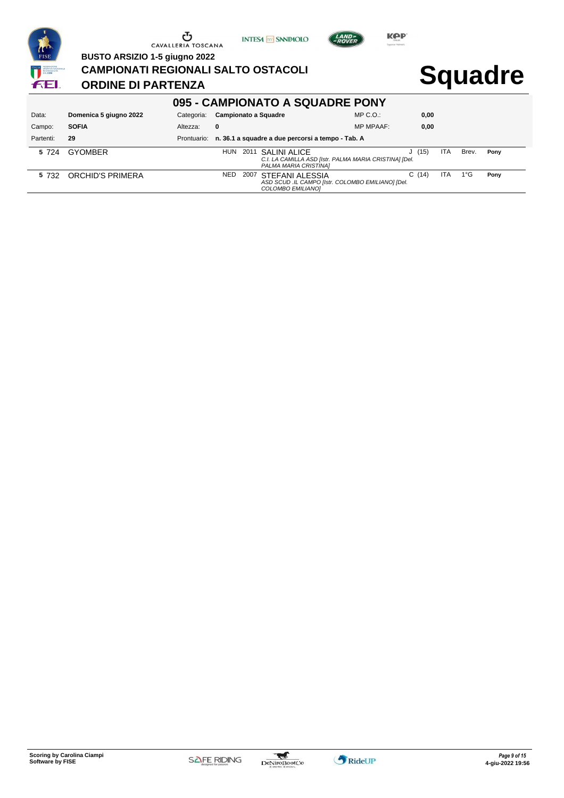





**BUSTO ARSIZIO 1-5 giugno 2022**

**CAMPIONATI REGIONALI SALTO OSTACOLI**

### **ORDINE DI PARTENZA**

| 095 - CAMPIONATO A SQUADRE PONY |                        |            |                                                                                                             |                  |       |      |       |      |  |  |  |  |
|---------------------------------|------------------------|------------|-------------------------------------------------------------------------------------------------------------|------------------|-------|------|-------|------|--|--|--|--|
| Data:                           | Domenica 5 giugno 2022 | Categoria: | Campionato a Squadre                                                                                        | $MP C. O.$ :     | 0,00  |      |       |      |  |  |  |  |
| Campo:                          | <b>SOFIA</b>           | Altezza:   | 0                                                                                                           | <b>MP MPAAF:</b> | 0,00  |      |       |      |  |  |  |  |
| Partenti:                       | 29                     |            | Prontuario: n. 36.1 a squadre a due percorsi a tempo - Tab. A                                               |                  |       |      |       |      |  |  |  |  |
| 5 7 2 4                         | <b>GYOMBER</b>         |            | HUN<br>2011 SALINI ALICE<br>C.I. LA CAMILLA ASD [Istr. PALMA MARIA CRISTINA] [Del.<br>PALMA MARIA CRISTINA] |                  | J(15) | ITA  | Brev. | Pony |  |  |  |  |
| 5 732                           | ORCHID'S PRIMERA       |            | NED.<br>STEFANI ALESSIA<br>2007<br>ASD SCUD .IL CAMPO [Istr. COLOMBO EMILIANO] [Del.<br>COLOMBO EMILIANOI   |                  | C(14) | ITA. | 1°G   | Pony |  |  |  |  |

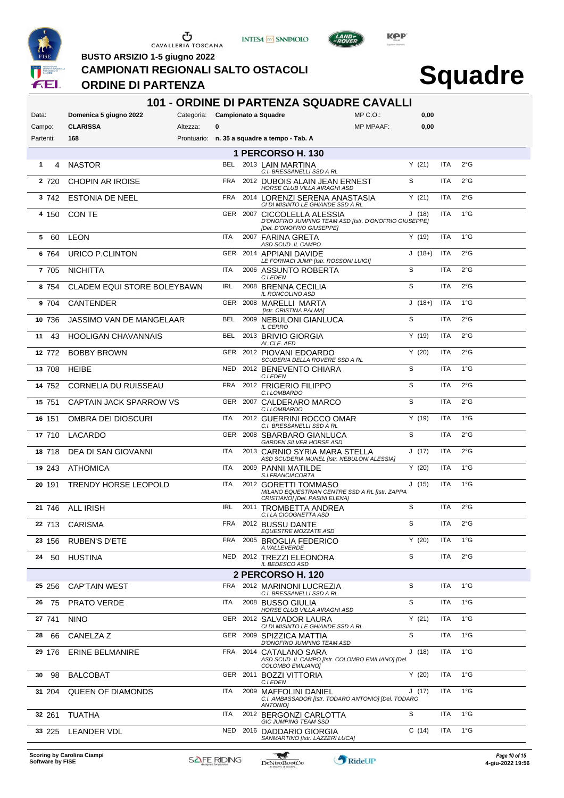





LAND<sub>E</sub>

**BUSTO ARSIZIO 1-5 giugno 2022**

#### **CAMPIONATI REGIONALI SALTO OSTACOLI**

#### **ORDINE DI PARTENZA**

### **Squadre**

| MP C.O.<br>Domenica 5 giugno 2022<br>Categoria: Campionato a Squadre<br>0,00<br>Data:<br><b>CLARISSA</b><br>$\bf{0}$<br><b>MP MPAAF:</b><br>0,00<br>Campo:<br>Altezza:<br>168<br>Prontuario: n. 35 a squadre a tempo - Tab. A<br>Partenti:<br><b>1 PERCORSO H. 130</b><br>Y(21)<br>$2^{\circ}$ G<br><b>NASTOR</b><br>BEL.<br>2013 LAIN MARTINA<br><b>ITA</b><br>1<br>4<br>C.I. BRESSANELLI SSD A RL<br>S<br>ITA<br>2°G<br>FRA<br>2 7 2 0<br><b>CHOPIN AR IROISE</b><br>2012 DUBOIS ALAIN JEAN ERNEST<br>HORSE CLUB VILLA AIRAGHI ASD<br><b>FRA</b><br>Y(21)<br><b>ITA</b><br>$2^{\circ}$ G<br>3 742<br><b>ESTONIA DE NEEL</b><br>2014 LORENZI SERENA ANASTASIA<br>CI DI MISINTO LE GHIANDE SSD A RL<br>$1^{\circ}$ G<br>GER 2007 CICCOLELLA ALESSIA<br>J(18)<br><b>ITA</b><br>4 150<br>CON TE<br>D'ONOFRIO JUMPING TEAM ASD [Istr. D'ONOFRIO GIUSEPPE]<br>[Del. D'ONOFRIO GIUSEPPE]<br>$1^{\circ}$ G<br><b>ITA</b><br>Y(19)<br><b>ITA</b><br>60<br>LEON<br>2007 FARINA GRETA<br>5<br>ASD SCUD .IL CAMPO<br>GER<br>$J(18+)$<br><b>ITA</b><br>2°G<br>URICO P.CLINTON<br>2014 APPIANI DAVIDE<br>6 764<br>LE FORNACI JUMP [Istr. ROSSONI LUIGI]<br>S<br>$2^{\circ}$ G<br>ITA<br><b>ITA</b><br>7 705<br><b>NICHITTA</b><br>2006 ASSUNTO ROBERTA<br>C.I.EDEN<br>S<br>$2^{\circ}$ G<br>IRL<br><b>ITA</b><br>2008 BRENNA CECILIA<br>8 754<br><b>CLADEM EQUI STORE BOLEYBAWN</b><br>IL RONCOLINO ASD<br>$1^{\circ}$ G<br><b>GER</b><br>$J(18+)$<br><b>ITA</b><br>2008 MARELLI MARTA<br>9 704<br><b>CANTENDER</b><br>[Istr. CRISTINA PALMA]<br>S<br><b>ITA</b><br>$2^{\circ}$ G<br><b>BEL</b><br>2009 NEBULONI GIANLUCA<br>10 736<br>JASSIMO VAN DE MANGELAAR<br><b>IL CERRO</b><br><b>ITA</b><br>2°G<br>BEL<br>Y(19)<br>2013 BRIVIO GIORGIA<br>11<br>43<br><b>HOOLIGAN CHAVANNAIS</b><br>AL.CLE. AED<br>Y(20)<br>$2^{\circ}$ G<br><b>BOBBY BROWN</b><br>GER 2012 PIOVANI EDOARDO<br><b>ITA</b><br>12 772<br>SCUDERIA DELLA ROVERE SSD A RL<br>S<br>$1^{\circ}$ G<br><b>NED</b><br>ITA<br>2012 BENEVENTO CHIARA<br>13 708<br><b>HEIBE</b><br>C.I.EDEN<br>S<br><b>FRA</b><br>2012 FRIGERIO FILIPPO<br><b>ITA</b><br>$2^{\circ}$ G<br>14 752<br>CORNELIA DU RUISSEAU<br>C.I.LOMBARDO<br>S<br>$2^{\circ}$ G<br>GER 2007 CALDERARO MARCO<br><b>ITA</b><br>15 751<br>CAPTAIN JACK SPARROW VS<br>C.I.LOMBARDO<br>$1^{\circ}$ G<br>ITA<br>Y(19)<br>ITA<br>2012 GUERRINI ROCCO OMAR<br>16 151<br>OMBRA DEI DIOSCURI<br>C.I. BRESSANELLI SSD A RL<br>S<br>2°G<br>GER<br>2008 SBARBARO GIANLUCA<br><b>ITA</b><br>17 710<br>LACARDO<br>GARDEN SILVER HORSE ASD<br>2°G<br>ITA<br>J(17)<br>ITA<br>2013 CARNIO SYRIA MARA STELLA<br>18 718<br>DEA DI SAN GIOVANNI<br>ASD SCUDERIA MUNEL [Istr. NEBULONI ALESSIA]<br>$1^{\circ}$ G<br>ITA<br>Y(20)<br>ITA<br>19 243<br><b>ATHOMICA</b><br>2009 PANNI MATILDE<br>S.I.FRANCIACORTA<br>$1^{\circ}$ G<br><b>ITA</b><br>J(15)<br><b>ITA</b><br>2012 GORETTI TOMMASO<br>20 191<br><b>TRENDY HORSE LEOPOLD</b><br>MILANO EQUESTRIAN CENTRE SSD A RL [Istr. ZAPPA<br>CRISTIANO] [Del. PASINI ELENA]<br>S<br>$2^{\circ}$ G<br>IRL<br><b>ITA</b><br>21 746 ALL IRISH<br>2011 TROMBETTA ANDREA<br>C.I.LA CICOGNETTA ASD<br>S<br>ITA<br>FRA 2012 BUSSU DANTE<br>$2^{\circ}$ G<br>22 713 CARISMA<br><b>EQUESTRE MOZZATE ASD</b><br>FRA<br>Y(20)<br>ITA<br>$1^{\circ}G$<br><b>RUBEN'S D'ETE</b><br>2005 BROGLIA FEDERICO<br>23 156<br>A.VALLEVERDE<br>S<br>2°G<br>ITA<br>HUSTINA<br>NED<br>2012 TREZZI ELEONORA<br>24 50<br>IL BEDESCO ASD<br>2 PERCORSO H. 120<br>S<br>ITA<br>1°G<br>25 256<br><b>CAPTAIN WEST</b><br>FRA<br>2012 MARINONI LUCREZIA<br>C.I. BRESSANELLI SSD A RL<br>S<br>$1^{\circ}$ G<br>ITA<br>ITA<br>2008 BUSSO GIULIA<br>26 75<br><b>PRATO VERDE</b><br>HORSE CLUB VILLA AIRAGHI ASD<br>$1^{\circ}$ G<br>GER 2012 SALVADOR LAURA<br>Y(21)<br>ITA<br>27 741<br><b>NINO</b><br>CI DI MISINTO LE GHIANDE SSD A RL<br>S<br>GER 2009 SPIZZICA MATTIA<br><b>ITA</b><br>$1^{\circ}G$<br>66<br>28<br>CANELZA Z<br>D'ONOFRIO JUMPING TEAM ASD<br>FRA<br>J(18)<br>ITA<br>$1^{\circ}G$<br>29 176<br>2014 CATALANO SARA<br><b>ERINE BELMANIRE</b><br>ASD SCUD .IL CAMPO [Istr. COLOMBO EMILIANO] [Del.<br>COLOMBO EMILIANO]<br>$1^{\circ}$ G<br>Y(20)<br>ITA<br>GER 2011 BOZZI VITTORIA<br>98<br><b>BALCOBAT</b><br>30<br>C.I.EDEN<br>ITA<br>J(17)<br>ITA<br>$1^{\circ}G$<br>31 204<br>2009 MAFFOLINI DANIEL<br>QUEEN OF DIAMONDS<br>C.I. AMBASSADOR [Istr. TODARO ANTONIO] [Del. TODARO<br>ANTONIO]<br>S<br><b>ITA</b><br><b>ITA</b><br>$1^{\circ}G$<br><b>TUATHA</b><br>2012 BERGONZI CARLOTTA<br>32 261<br>GIC JUMPING TEAM SSD<br>C(14)<br>ITA<br>1°G<br>NED<br>2016 DADDARIO GIORGIA<br>33 225<br>LEANDER VDL<br>SANMARTINO [Istr. LAZZERI LUCA] | <b>101 - ORDINE DI PARTENZA SQUADRE CAVALLI</b> |  |  |  |  |  |  |  |  |  |  |  |  |
|-------------------------------------------------------------------------------------------------------------------------------------------------------------------------------------------------------------------------------------------------------------------------------------------------------------------------------------------------------------------------------------------------------------------------------------------------------------------------------------------------------------------------------------------------------------------------------------------------------------------------------------------------------------------------------------------------------------------------------------------------------------------------------------------------------------------------------------------------------------------------------------------------------------------------------------------------------------------------------------------------------------------------------------------------------------------------------------------------------------------------------------------------------------------------------------------------------------------------------------------------------------------------------------------------------------------------------------------------------------------------------------------------------------------------------------------------------------------------------------------------------------------------------------------------------------------------------------------------------------------------------------------------------------------------------------------------------------------------------------------------------------------------------------------------------------------------------------------------------------------------------------------------------------------------------------------------------------------------------------------------------------------------------------------------------------------------------------------------------------------------------------------------------------------------------------------------------------------------------------------------------------------------------------------------------------------------------------------------------------------------------------------------------------------------------------------------------------------------------------------------------------------------------------------------------------------------------------------------------------------------------------------------------------------------------------------------------------------------------------------------------------------------------------------------------------------------------------------------------------------------------------------------------------------------------------------------------------------------------------------------------------------------------------------------------------------------------------------------------------------------------------------------------------------------------------------------------------------------------------------------------------------------------------------------------------------------------------------------------------------------------------------------------------------------------------------------------------------------------------------------------------------------------------------------------------------------------------------------------------------------------------------------------------------------------------------------------------------------------------------------------------------------------------------------------------------------------------------------------------------------------------------------------------------------------------------------------------------------------------------------------------------------------------------------------------------------------------------------------------------------------------------------------------------------------------------------------------------------------------------------------------------------------------------------------------------------------------------------------------------------------------------------------------------------------------------------------------------------------------------------------------------------------------------------------------------------------------------------------------------------------------------------------------------------|-------------------------------------------------|--|--|--|--|--|--|--|--|--|--|--|--|
|                                                                                                                                                                                                                                                                                                                                                                                                                                                                                                                                                                                                                                                                                                                                                                                                                                                                                                                                                                                                                                                                                                                                                                                                                                                                                                                                                                                                                                                                                                                                                                                                                                                                                                                                                                                                                                                                                                                                                                                                                                                                                                                                                                                                                                                                                                                                                                                                                                                                                                                                                                                                                                                                                                                                                                                                                                                                                                                                                                                                                                                                                                                                                                                                                                                                                                                                                                                                                                                                                                                                                                                                                                                                                                                                                                                                                                                                                                                                                                                                                                                                                                                                                                                                                                                                                                                                                                                                                                                                                                                                                                                                                                                                         |                                                 |  |  |  |  |  |  |  |  |  |  |  |  |
|                                                                                                                                                                                                                                                                                                                                                                                                                                                                                                                                                                                                                                                                                                                                                                                                                                                                                                                                                                                                                                                                                                                                                                                                                                                                                                                                                                                                                                                                                                                                                                                                                                                                                                                                                                                                                                                                                                                                                                                                                                                                                                                                                                                                                                                                                                                                                                                                                                                                                                                                                                                                                                                                                                                                                                                                                                                                                                                                                                                                                                                                                                                                                                                                                                                                                                                                                                                                                                                                                                                                                                                                                                                                                                                                                                                                                                                                                                                                                                                                                                                                                                                                                                                                                                                                                                                                                                                                                                                                                                                                                                                                                                                                         |                                                 |  |  |  |  |  |  |  |  |  |  |  |  |
|                                                                                                                                                                                                                                                                                                                                                                                                                                                                                                                                                                                                                                                                                                                                                                                                                                                                                                                                                                                                                                                                                                                                                                                                                                                                                                                                                                                                                                                                                                                                                                                                                                                                                                                                                                                                                                                                                                                                                                                                                                                                                                                                                                                                                                                                                                                                                                                                                                                                                                                                                                                                                                                                                                                                                                                                                                                                                                                                                                                                                                                                                                                                                                                                                                                                                                                                                                                                                                                                                                                                                                                                                                                                                                                                                                                                                                                                                                                                                                                                                                                                                                                                                                                                                                                                                                                                                                                                                                                                                                                                                                                                                                                                         |                                                 |  |  |  |  |  |  |  |  |  |  |  |  |
|                                                                                                                                                                                                                                                                                                                                                                                                                                                                                                                                                                                                                                                                                                                                                                                                                                                                                                                                                                                                                                                                                                                                                                                                                                                                                                                                                                                                                                                                                                                                                                                                                                                                                                                                                                                                                                                                                                                                                                                                                                                                                                                                                                                                                                                                                                                                                                                                                                                                                                                                                                                                                                                                                                                                                                                                                                                                                                                                                                                                                                                                                                                                                                                                                                                                                                                                                                                                                                                                                                                                                                                                                                                                                                                                                                                                                                                                                                                                                                                                                                                                                                                                                                                                                                                                                                                                                                                                                                                                                                                                                                                                                                                                         |                                                 |  |  |  |  |  |  |  |  |  |  |  |  |
|                                                                                                                                                                                                                                                                                                                                                                                                                                                                                                                                                                                                                                                                                                                                                                                                                                                                                                                                                                                                                                                                                                                                                                                                                                                                                                                                                                                                                                                                                                                                                                                                                                                                                                                                                                                                                                                                                                                                                                                                                                                                                                                                                                                                                                                                                                                                                                                                                                                                                                                                                                                                                                                                                                                                                                                                                                                                                                                                                                                                                                                                                                                                                                                                                                                                                                                                                                                                                                                                                                                                                                                                                                                                                                                                                                                                                                                                                                                                                                                                                                                                                                                                                                                                                                                                                                                                                                                                                                                                                                                                                                                                                                                                         |                                                 |  |  |  |  |  |  |  |  |  |  |  |  |
|                                                                                                                                                                                                                                                                                                                                                                                                                                                                                                                                                                                                                                                                                                                                                                                                                                                                                                                                                                                                                                                                                                                                                                                                                                                                                                                                                                                                                                                                                                                                                                                                                                                                                                                                                                                                                                                                                                                                                                                                                                                                                                                                                                                                                                                                                                                                                                                                                                                                                                                                                                                                                                                                                                                                                                                                                                                                                                                                                                                                                                                                                                                                                                                                                                                                                                                                                                                                                                                                                                                                                                                                                                                                                                                                                                                                                                                                                                                                                                                                                                                                                                                                                                                                                                                                                                                                                                                                                                                                                                                                                                                                                                                                         |                                                 |  |  |  |  |  |  |  |  |  |  |  |  |
|                                                                                                                                                                                                                                                                                                                                                                                                                                                                                                                                                                                                                                                                                                                                                                                                                                                                                                                                                                                                                                                                                                                                                                                                                                                                                                                                                                                                                                                                                                                                                                                                                                                                                                                                                                                                                                                                                                                                                                                                                                                                                                                                                                                                                                                                                                                                                                                                                                                                                                                                                                                                                                                                                                                                                                                                                                                                                                                                                                                                                                                                                                                                                                                                                                                                                                                                                                                                                                                                                                                                                                                                                                                                                                                                                                                                                                                                                                                                                                                                                                                                                                                                                                                                                                                                                                                                                                                                                                                                                                                                                                                                                                                                         |                                                 |  |  |  |  |  |  |  |  |  |  |  |  |
|                                                                                                                                                                                                                                                                                                                                                                                                                                                                                                                                                                                                                                                                                                                                                                                                                                                                                                                                                                                                                                                                                                                                                                                                                                                                                                                                                                                                                                                                                                                                                                                                                                                                                                                                                                                                                                                                                                                                                                                                                                                                                                                                                                                                                                                                                                                                                                                                                                                                                                                                                                                                                                                                                                                                                                                                                                                                                                                                                                                                                                                                                                                                                                                                                                                                                                                                                                                                                                                                                                                                                                                                                                                                                                                                                                                                                                                                                                                                                                                                                                                                                                                                                                                                                                                                                                                                                                                                                                                                                                                                                                                                                                                                         |                                                 |  |  |  |  |  |  |  |  |  |  |  |  |
|                                                                                                                                                                                                                                                                                                                                                                                                                                                                                                                                                                                                                                                                                                                                                                                                                                                                                                                                                                                                                                                                                                                                                                                                                                                                                                                                                                                                                                                                                                                                                                                                                                                                                                                                                                                                                                                                                                                                                                                                                                                                                                                                                                                                                                                                                                                                                                                                                                                                                                                                                                                                                                                                                                                                                                                                                                                                                                                                                                                                                                                                                                                                                                                                                                                                                                                                                                                                                                                                                                                                                                                                                                                                                                                                                                                                                                                                                                                                                                                                                                                                                                                                                                                                                                                                                                                                                                                                                                                                                                                                                                                                                                                                         |                                                 |  |  |  |  |  |  |  |  |  |  |  |  |
|                                                                                                                                                                                                                                                                                                                                                                                                                                                                                                                                                                                                                                                                                                                                                                                                                                                                                                                                                                                                                                                                                                                                                                                                                                                                                                                                                                                                                                                                                                                                                                                                                                                                                                                                                                                                                                                                                                                                                                                                                                                                                                                                                                                                                                                                                                                                                                                                                                                                                                                                                                                                                                                                                                                                                                                                                                                                                                                                                                                                                                                                                                                                                                                                                                                                                                                                                                                                                                                                                                                                                                                                                                                                                                                                                                                                                                                                                                                                                                                                                                                                                                                                                                                                                                                                                                                                                                                                                                                                                                                                                                                                                                                                         |                                                 |  |  |  |  |  |  |  |  |  |  |  |  |
|                                                                                                                                                                                                                                                                                                                                                                                                                                                                                                                                                                                                                                                                                                                                                                                                                                                                                                                                                                                                                                                                                                                                                                                                                                                                                                                                                                                                                                                                                                                                                                                                                                                                                                                                                                                                                                                                                                                                                                                                                                                                                                                                                                                                                                                                                                                                                                                                                                                                                                                                                                                                                                                                                                                                                                                                                                                                                                                                                                                                                                                                                                                                                                                                                                                                                                                                                                                                                                                                                                                                                                                                                                                                                                                                                                                                                                                                                                                                                                                                                                                                                                                                                                                                                                                                                                                                                                                                                                                                                                                                                                                                                                                                         |                                                 |  |  |  |  |  |  |  |  |  |  |  |  |
|                                                                                                                                                                                                                                                                                                                                                                                                                                                                                                                                                                                                                                                                                                                                                                                                                                                                                                                                                                                                                                                                                                                                                                                                                                                                                                                                                                                                                                                                                                                                                                                                                                                                                                                                                                                                                                                                                                                                                                                                                                                                                                                                                                                                                                                                                                                                                                                                                                                                                                                                                                                                                                                                                                                                                                                                                                                                                                                                                                                                                                                                                                                                                                                                                                                                                                                                                                                                                                                                                                                                                                                                                                                                                                                                                                                                                                                                                                                                                                                                                                                                                                                                                                                                                                                                                                                                                                                                                                                                                                                                                                                                                                                                         |                                                 |  |  |  |  |  |  |  |  |  |  |  |  |
|                                                                                                                                                                                                                                                                                                                                                                                                                                                                                                                                                                                                                                                                                                                                                                                                                                                                                                                                                                                                                                                                                                                                                                                                                                                                                                                                                                                                                                                                                                                                                                                                                                                                                                                                                                                                                                                                                                                                                                                                                                                                                                                                                                                                                                                                                                                                                                                                                                                                                                                                                                                                                                                                                                                                                                                                                                                                                                                                                                                                                                                                                                                                                                                                                                                                                                                                                                                                                                                                                                                                                                                                                                                                                                                                                                                                                                                                                                                                                                                                                                                                                                                                                                                                                                                                                                                                                                                                                                                                                                                                                                                                                                                                         |                                                 |  |  |  |  |  |  |  |  |  |  |  |  |
|                                                                                                                                                                                                                                                                                                                                                                                                                                                                                                                                                                                                                                                                                                                                                                                                                                                                                                                                                                                                                                                                                                                                                                                                                                                                                                                                                                                                                                                                                                                                                                                                                                                                                                                                                                                                                                                                                                                                                                                                                                                                                                                                                                                                                                                                                                                                                                                                                                                                                                                                                                                                                                                                                                                                                                                                                                                                                                                                                                                                                                                                                                                                                                                                                                                                                                                                                                                                                                                                                                                                                                                                                                                                                                                                                                                                                                                                                                                                                                                                                                                                                                                                                                                                                                                                                                                                                                                                                                                                                                                                                                                                                                                                         |                                                 |  |  |  |  |  |  |  |  |  |  |  |  |
|                                                                                                                                                                                                                                                                                                                                                                                                                                                                                                                                                                                                                                                                                                                                                                                                                                                                                                                                                                                                                                                                                                                                                                                                                                                                                                                                                                                                                                                                                                                                                                                                                                                                                                                                                                                                                                                                                                                                                                                                                                                                                                                                                                                                                                                                                                                                                                                                                                                                                                                                                                                                                                                                                                                                                                                                                                                                                                                                                                                                                                                                                                                                                                                                                                                                                                                                                                                                                                                                                                                                                                                                                                                                                                                                                                                                                                                                                                                                                                                                                                                                                                                                                                                                                                                                                                                                                                                                                                                                                                                                                                                                                                                                         |                                                 |  |  |  |  |  |  |  |  |  |  |  |  |
|                                                                                                                                                                                                                                                                                                                                                                                                                                                                                                                                                                                                                                                                                                                                                                                                                                                                                                                                                                                                                                                                                                                                                                                                                                                                                                                                                                                                                                                                                                                                                                                                                                                                                                                                                                                                                                                                                                                                                                                                                                                                                                                                                                                                                                                                                                                                                                                                                                                                                                                                                                                                                                                                                                                                                                                                                                                                                                                                                                                                                                                                                                                                                                                                                                                                                                                                                                                                                                                                                                                                                                                                                                                                                                                                                                                                                                                                                                                                                                                                                                                                                                                                                                                                                                                                                                                                                                                                                                                                                                                                                                                                                                                                         |                                                 |  |  |  |  |  |  |  |  |  |  |  |  |
|                                                                                                                                                                                                                                                                                                                                                                                                                                                                                                                                                                                                                                                                                                                                                                                                                                                                                                                                                                                                                                                                                                                                                                                                                                                                                                                                                                                                                                                                                                                                                                                                                                                                                                                                                                                                                                                                                                                                                                                                                                                                                                                                                                                                                                                                                                                                                                                                                                                                                                                                                                                                                                                                                                                                                                                                                                                                                                                                                                                                                                                                                                                                                                                                                                                                                                                                                                                                                                                                                                                                                                                                                                                                                                                                                                                                                                                                                                                                                                                                                                                                                                                                                                                                                                                                                                                                                                                                                                                                                                                                                                                                                                                                         |                                                 |  |  |  |  |  |  |  |  |  |  |  |  |
|                                                                                                                                                                                                                                                                                                                                                                                                                                                                                                                                                                                                                                                                                                                                                                                                                                                                                                                                                                                                                                                                                                                                                                                                                                                                                                                                                                                                                                                                                                                                                                                                                                                                                                                                                                                                                                                                                                                                                                                                                                                                                                                                                                                                                                                                                                                                                                                                                                                                                                                                                                                                                                                                                                                                                                                                                                                                                                                                                                                                                                                                                                                                                                                                                                                                                                                                                                                                                                                                                                                                                                                                                                                                                                                                                                                                                                                                                                                                                                                                                                                                                                                                                                                                                                                                                                                                                                                                                                                                                                                                                                                                                                                                         |                                                 |  |  |  |  |  |  |  |  |  |  |  |  |
|                                                                                                                                                                                                                                                                                                                                                                                                                                                                                                                                                                                                                                                                                                                                                                                                                                                                                                                                                                                                                                                                                                                                                                                                                                                                                                                                                                                                                                                                                                                                                                                                                                                                                                                                                                                                                                                                                                                                                                                                                                                                                                                                                                                                                                                                                                                                                                                                                                                                                                                                                                                                                                                                                                                                                                                                                                                                                                                                                                                                                                                                                                                                                                                                                                                                                                                                                                                                                                                                                                                                                                                                                                                                                                                                                                                                                                                                                                                                                                                                                                                                                                                                                                                                                                                                                                                                                                                                                                                                                                                                                                                                                                                                         |                                                 |  |  |  |  |  |  |  |  |  |  |  |  |
|                                                                                                                                                                                                                                                                                                                                                                                                                                                                                                                                                                                                                                                                                                                                                                                                                                                                                                                                                                                                                                                                                                                                                                                                                                                                                                                                                                                                                                                                                                                                                                                                                                                                                                                                                                                                                                                                                                                                                                                                                                                                                                                                                                                                                                                                                                                                                                                                                                                                                                                                                                                                                                                                                                                                                                                                                                                                                                                                                                                                                                                                                                                                                                                                                                                                                                                                                                                                                                                                                                                                                                                                                                                                                                                                                                                                                                                                                                                                                                                                                                                                                                                                                                                                                                                                                                                                                                                                                                                                                                                                                                                                                                                                         |                                                 |  |  |  |  |  |  |  |  |  |  |  |  |
|                                                                                                                                                                                                                                                                                                                                                                                                                                                                                                                                                                                                                                                                                                                                                                                                                                                                                                                                                                                                                                                                                                                                                                                                                                                                                                                                                                                                                                                                                                                                                                                                                                                                                                                                                                                                                                                                                                                                                                                                                                                                                                                                                                                                                                                                                                                                                                                                                                                                                                                                                                                                                                                                                                                                                                                                                                                                                                                                                                                                                                                                                                                                                                                                                                                                                                                                                                                                                                                                                                                                                                                                                                                                                                                                                                                                                                                                                                                                                                                                                                                                                                                                                                                                                                                                                                                                                                                                                                                                                                                                                                                                                                                                         |                                                 |  |  |  |  |  |  |  |  |  |  |  |  |
|                                                                                                                                                                                                                                                                                                                                                                                                                                                                                                                                                                                                                                                                                                                                                                                                                                                                                                                                                                                                                                                                                                                                                                                                                                                                                                                                                                                                                                                                                                                                                                                                                                                                                                                                                                                                                                                                                                                                                                                                                                                                                                                                                                                                                                                                                                                                                                                                                                                                                                                                                                                                                                                                                                                                                                                                                                                                                                                                                                                                                                                                                                                                                                                                                                                                                                                                                                                                                                                                                                                                                                                                                                                                                                                                                                                                                                                                                                                                                                                                                                                                                                                                                                                                                                                                                                                                                                                                                                                                                                                                                                                                                                                                         |                                                 |  |  |  |  |  |  |  |  |  |  |  |  |
|                                                                                                                                                                                                                                                                                                                                                                                                                                                                                                                                                                                                                                                                                                                                                                                                                                                                                                                                                                                                                                                                                                                                                                                                                                                                                                                                                                                                                                                                                                                                                                                                                                                                                                                                                                                                                                                                                                                                                                                                                                                                                                                                                                                                                                                                                                                                                                                                                                                                                                                                                                                                                                                                                                                                                                                                                                                                                                                                                                                                                                                                                                                                                                                                                                                                                                                                                                                                                                                                                                                                                                                                                                                                                                                                                                                                                                                                                                                                                                                                                                                                                                                                                                                                                                                                                                                                                                                                                                                                                                                                                                                                                                                                         |                                                 |  |  |  |  |  |  |  |  |  |  |  |  |
|                                                                                                                                                                                                                                                                                                                                                                                                                                                                                                                                                                                                                                                                                                                                                                                                                                                                                                                                                                                                                                                                                                                                                                                                                                                                                                                                                                                                                                                                                                                                                                                                                                                                                                                                                                                                                                                                                                                                                                                                                                                                                                                                                                                                                                                                                                                                                                                                                                                                                                                                                                                                                                                                                                                                                                                                                                                                                                                                                                                                                                                                                                                                                                                                                                                                                                                                                                                                                                                                                                                                                                                                                                                                                                                                                                                                                                                                                                                                                                                                                                                                                                                                                                                                                                                                                                                                                                                                                                                                                                                                                                                                                                                                         |                                                 |  |  |  |  |  |  |  |  |  |  |  |  |
|                                                                                                                                                                                                                                                                                                                                                                                                                                                                                                                                                                                                                                                                                                                                                                                                                                                                                                                                                                                                                                                                                                                                                                                                                                                                                                                                                                                                                                                                                                                                                                                                                                                                                                                                                                                                                                                                                                                                                                                                                                                                                                                                                                                                                                                                                                                                                                                                                                                                                                                                                                                                                                                                                                                                                                                                                                                                                                                                                                                                                                                                                                                                                                                                                                                                                                                                                                                                                                                                                                                                                                                                                                                                                                                                                                                                                                                                                                                                                                                                                                                                                                                                                                                                                                                                                                                                                                                                                                                                                                                                                                                                                                                                         |                                                 |  |  |  |  |  |  |  |  |  |  |  |  |
|                                                                                                                                                                                                                                                                                                                                                                                                                                                                                                                                                                                                                                                                                                                                                                                                                                                                                                                                                                                                                                                                                                                                                                                                                                                                                                                                                                                                                                                                                                                                                                                                                                                                                                                                                                                                                                                                                                                                                                                                                                                                                                                                                                                                                                                                                                                                                                                                                                                                                                                                                                                                                                                                                                                                                                                                                                                                                                                                                                                                                                                                                                                                                                                                                                                                                                                                                                                                                                                                                                                                                                                                                                                                                                                                                                                                                                                                                                                                                                                                                                                                                                                                                                                                                                                                                                                                                                                                                                                                                                                                                                                                                                                                         |                                                 |  |  |  |  |  |  |  |  |  |  |  |  |
|                                                                                                                                                                                                                                                                                                                                                                                                                                                                                                                                                                                                                                                                                                                                                                                                                                                                                                                                                                                                                                                                                                                                                                                                                                                                                                                                                                                                                                                                                                                                                                                                                                                                                                                                                                                                                                                                                                                                                                                                                                                                                                                                                                                                                                                                                                                                                                                                                                                                                                                                                                                                                                                                                                                                                                                                                                                                                                                                                                                                                                                                                                                                                                                                                                                                                                                                                                                                                                                                                                                                                                                                                                                                                                                                                                                                                                                                                                                                                                                                                                                                                                                                                                                                                                                                                                                                                                                                                                                                                                                                                                                                                                                                         |                                                 |  |  |  |  |  |  |  |  |  |  |  |  |
|                                                                                                                                                                                                                                                                                                                                                                                                                                                                                                                                                                                                                                                                                                                                                                                                                                                                                                                                                                                                                                                                                                                                                                                                                                                                                                                                                                                                                                                                                                                                                                                                                                                                                                                                                                                                                                                                                                                                                                                                                                                                                                                                                                                                                                                                                                                                                                                                                                                                                                                                                                                                                                                                                                                                                                                                                                                                                                                                                                                                                                                                                                                                                                                                                                                                                                                                                                                                                                                                                                                                                                                                                                                                                                                                                                                                                                                                                                                                                                                                                                                                                                                                                                                                                                                                                                                                                                                                                                                                                                                                                                                                                                                                         |                                                 |  |  |  |  |  |  |  |  |  |  |  |  |
|                                                                                                                                                                                                                                                                                                                                                                                                                                                                                                                                                                                                                                                                                                                                                                                                                                                                                                                                                                                                                                                                                                                                                                                                                                                                                                                                                                                                                                                                                                                                                                                                                                                                                                                                                                                                                                                                                                                                                                                                                                                                                                                                                                                                                                                                                                                                                                                                                                                                                                                                                                                                                                                                                                                                                                                                                                                                                                                                                                                                                                                                                                                                                                                                                                                                                                                                                                                                                                                                                                                                                                                                                                                                                                                                                                                                                                                                                                                                                                                                                                                                                                                                                                                                                                                                                                                                                                                                                                                                                                                                                                                                                                                                         |                                                 |  |  |  |  |  |  |  |  |  |  |  |  |
|                                                                                                                                                                                                                                                                                                                                                                                                                                                                                                                                                                                                                                                                                                                                                                                                                                                                                                                                                                                                                                                                                                                                                                                                                                                                                                                                                                                                                                                                                                                                                                                                                                                                                                                                                                                                                                                                                                                                                                                                                                                                                                                                                                                                                                                                                                                                                                                                                                                                                                                                                                                                                                                                                                                                                                                                                                                                                                                                                                                                                                                                                                                                                                                                                                                                                                                                                                                                                                                                                                                                                                                                                                                                                                                                                                                                                                                                                                                                                                                                                                                                                                                                                                                                                                                                                                                                                                                                                                                                                                                                                                                                                                                                         |                                                 |  |  |  |  |  |  |  |  |  |  |  |  |
|                                                                                                                                                                                                                                                                                                                                                                                                                                                                                                                                                                                                                                                                                                                                                                                                                                                                                                                                                                                                                                                                                                                                                                                                                                                                                                                                                                                                                                                                                                                                                                                                                                                                                                                                                                                                                                                                                                                                                                                                                                                                                                                                                                                                                                                                                                                                                                                                                                                                                                                                                                                                                                                                                                                                                                                                                                                                                                                                                                                                                                                                                                                                                                                                                                                                                                                                                                                                                                                                                                                                                                                                                                                                                                                                                                                                                                                                                                                                                                                                                                                                                                                                                                                                                                                                                                                                                                                                                                                                                                                                                                                                                                                                         |                                                 |  |  |  |  |  |  |  |  |  |  |  |  |
|                                                                                                                                                                                                                                                                                                                                                                                                                                                                                                                                                                                                                                                                                                                                                                                                                                                                                                                                                                                                                                                                                                                                                                                                                                                                                                                                                                                                                                                                                                                                                                                                                                                                                                                                                                                                                                                                                                                                                                                                                                                                                                                                                                                                                                                                                                                                                                                                                                                                                                                                                                                                                                                                                                                                                                                                                                                                                                                                                                                                                                                                                                                                                                                                                                                                                                                                                                                                                                                                                                                                                                                                                                                                                                                                                                                                                                                                                                                                                                                                                                                                                                                                                                                                                                                                                                                                                                                                                                                                                                                                                                                                                                                                         |                                                 |  |  |  |  |  |  |  |  |  |  |  |  |
|                                                                                                                                                                                                                                                                                                                                                                                                                                                                                                                                                                                                                                                                                                                                                                                                                                                                                                                                                                                                                                                                                                                                                                                                                                                                                                                                                                                                                                                                                                                                                                                                                                                                                                                                                                                                                                                                                                                                                                                                                                                                                                                                                                                                                                                                                                                                                                                                                                                                                                                                                                                                                                                                                                                                                                                                                                                                                                                                                                                                                                                                                                                                                                                                                                                                                                                                                                                                                                                                                                                                                                                                                                                                                                                                                                                                                                                                                                                                                                                                                                                                                                                                                                                                                                                                                                                                                                                                                                                                                                                                                                                                                                                                         |                                                 |  |  |  |  |  |  |  |  |  |  |  |  |
|                                                                                                                                                                                                                                                                                                                                                                                                                                                                                                                                                                                                                                                                                                                                                                                                                                                                                                                                                                                                                                                                                                                                                                                                                                                                                                                                                                                                                                                                                                                                                                                                                                                                                                                                                                                                                                                                                                                                                                                                                                                                                                                                                                                                                                                                                                                                                                                                                                                                                                                                                                                                                                                                                                                                                                                                                                                                                                                                                                                                                                                                                                                                                                                                                                                                                                                                                                                                                                                                                                                                                                                                                                                                                                                                                                                                                                                                                                                                                                                                                                                                                                                                                                                                                                                                                                                                                                                                                                                                                                                                                                                                                                                                         |                                                 |  |  |  |  |  |  |  |  |  |  |  |  |
|                                                                                                                                                                                                                                                                                                                                                                                                                                                                                                                                                                                                                                                                                                                                                                                                                                                                                                                                                                                                                                                                                                                                                                                                                                                                                                                                                                                                                                                                                                                                                                                                                                                                                                                                                                                                                                                                                                                                                                                                                                                                                                                                                                                                                                                                                                                                                                                                                                                                                                                                                                                                                                                                                                                                                                                                                                                                                                                                                                                                                                                                                                                                                                                                                                                                                                                                                                                                                                                                                                                                                                                                                                                                                                                                                                                                                                                                                                                                                                                                                                                                                                                                                                                                                                                                                                                                                                                                                                                                                                                                                                                                                                                                         |                                                 |  |  |  |  |  |  |  |  |  |  |  |  |
|                                                                                                                                                                                                                                                                                                                                                                                                                                                                                                                                                                                                                                                                                                                                                                                                                                                                                                                                                                                                                                                                                                                                                                                                                                                                                                                                                                                                                                                                                                                                                                                                                                                                                                                                                                                                                                                                                                                                                                                                                                                                                                                                                                                                                                                                                                                                                                                                                                                                                                                                                                                                                                                                                                                                                                                                                                                                                                                                                                                                                                                                                                                                                                                                                                                                                                                                                                                                                                                                                                                                                                                                                                                                                                                                                                                                                                                                                                                                                                                                                                                                                                                                                                                                                                                                                                                                                                                                                                                                                                                                                                                                                                                                         |                                                 |  |  |  |  |  |  |  |  |  |  |  |  |
|                                                                                                                                                                                                                                                                                                                                                                                                                                                                                                                                                                                                                                                                                                                                                                                                                                                                                                                                                                                                                                                                                                                                                                                                                                                                                                                                                                                                                                                                                                                                                                                                                                                                                                                                                                                                                                                                                                                                                                                                                                                                                                                                                                                                                                                                                                                                                                                                                                                                                                                                                                                                                                                                                                                                                                                                                                                                                                                                                                                                                                                                                                                                                                                                                                                                                                                                                                                                                                                                                                                                                                                                                                                                                                                                                                                                                                                                                                                                                                                                                                                                                                                                                                                                                                                                                                                                                                                                                                                                                                                                                                                                                                                                         |                                                 |  |  |  |  |  |  |  |  |  |  |  |  |
|                                                                                                                                                                                                                                                                                                                                                                                                                                                                                                                                                                                                                                                                                                                                                                                                                                                                                                                                                                                                                                                                                                                                                                                                                                                                                                                                                                                                                                                                                                                                                                                                                                                                                                                                                                                                                                                                                                                                                                                                                                                                                                                                                                                                                                                                                                                                                                                                                                                                                                                                                                                                                                                                                                                                                                                                                                                                                                                                                                                                                                                                                                                                                                                                                                                                                                                                                                                                                                                                                                                                                                                                                                                                                                                                                                                                                                                                                                                                                                                                                                                                                                                                                                                                                                                                                                                                                                                                                                                                                                                                                                                                                                                                         |                                                 |  |  |  |  |  |  |  |  |  |  |  |  |
|                                                                                                                                                                                                                                                                                                                                                                                                                                                                                                                                                                                                                                                                                                                                                                                                                                                                                                                                                                                                                                                                                                                                                                                                                                                                                                                                                                                                                                                                                                                                                                                                                                                                                                                                                                                                                                                                                                                                                                                                                                                                                                                                                                                                                                                                                                                                                                                                                                                                                                                                                                                                                                                                                                                                                                                                                                                                                                                                                                                                                                                                                                                                                                                                                                                                                                                                                                                                                                                                                                                                                                                                                                                                                                                                                                                                                                                                                                                                                                                                                                                                                                                                                                                                                                                                                                                                                                                                                                                                                                                                                                                                                                                                         |                                                 |  |  |  |  |  |  |  |  |  |  |  |  |

**Scoring by Carolina Ciampi Software by FISE 4-giu-2022 19:56**

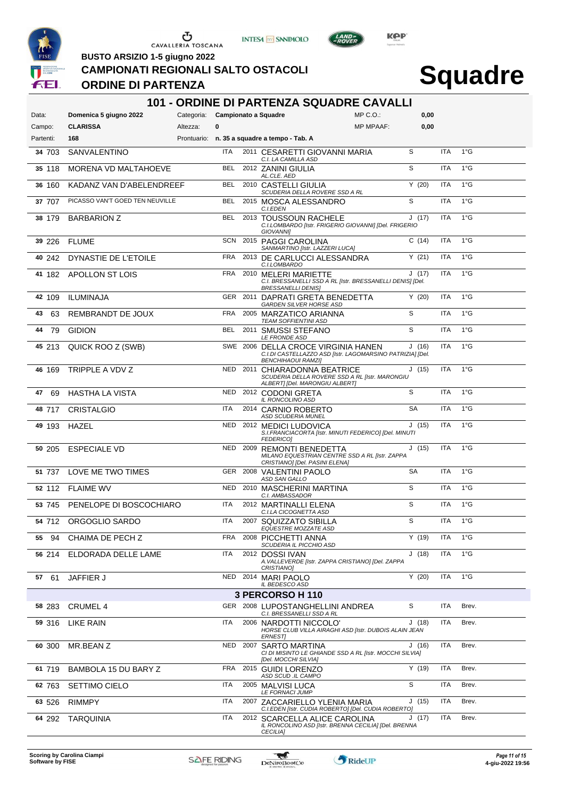





LAND-

**BUSTO ARSIZIO 1-5 giugno 2022**

#### **CAMPIONATI REGIONALI SALTO OSTACOLI**

### **ORDINE DI PARTENZA**

# **Squadre**

| <b>101 - ORDINE DI PARTENZA SQUADRE CAVALLI</b> |                                 |                                 |            |      |                                                                                                                               |                  |           |            |               |  |  |  |
|-------------------------------------------------|---------------------------------|---------------------------------|------------|------|-------------------------------------------------------------------------------------------------------------------------------|------------------|-----------|------------|---------------|--|--|--|
| Data:                                           | Domenica 5 giugno 2022          | Categoria: Campionato a Squadre |            |      |                                                                                                                               | $MP C. O.$ :     | 0,00      |            |               |  |  |  |
| Campo:                                          | <b>CLARISSA</b>                 | Altezza:                        | 0          |      |                                                                                                                               | <b>MP MPAAF:</b> | 0,00      |            |               |  |  |  |
| Partenti:                                       | 168                             |                                 |            |      | Prontuario: n. 35 a squadre a tempo - Tab. A                                                                                  |                  |           |            |               |  |  |  |
| 34 703                                          | SANVALENTINO                    |                                 | ITA        |      | 2011 CESARETTI GIOVANNI MARIA<br>C.I. LA CAMILLA ASD                                                                          |                  | S         | ITA        | $1^{\circ}$ G |  |  |  |
| 35 118                                          | MORENA VD MALTAHOEVE            |                                 | BEL        |      | 2012 ZANINI GIULIA<br>AL.CLE. AED                                                                                             |                  | S         | <b>ITA</b> | $1^{\circ}$ G |  |  |  |
| 36 160                                          | KADANZ VAN D'ABELENDREEF        |                                 | <b>BEL</b> |      | 2010 CASTELLI GIULIA<br>SCUDERIA DELLA ROVERE SSD A RL                                                                        |                  | Y(20)     | <b>ITA</b> | $1^{\circ}$ G |  |  |  |
| 37 707                                          | PICASSO VAN'T GOED TEN NEUVILLE |                                 | <b>BEL</b> |      | 2015 MOSCA ALESSANDRO<br>C.I.EDEN                                                                                             |                  | S         | <b>ITA</b> | $1^{\circ}$ G |  |  |  |
| 38 179                                          | <b>BARBARION Z</b>              |                                 | <b>BEL</b> |      | 2013 TOUSSOUN RACHELE<br>C.I.LOMBARDO [Istr. FRIGERIO GIOVANNI] [Del. FRIGERIO<br><b>GIOVANNII</b>                            |                  | J(17)     | <b>ITA</b> | $1^{\circ}$ G |  |  |  |
| 39 226                                          | <b>FLUME</b>                    |                                 | SCN        |      | 2015 PAGGI CAROLINA<br>SANMARTINO [Istr. LAZZERI LUCA]                                                                        |                  | C(14)     | ITA        | $1^{\circ}$ G |  |  |  |
| 40 242                                          | DYNASTIE DE L'ETOILE            |                                 | <b>FRA</b> |      | 2013 DE CARLUCCI ALESSANDRA<br>C.I.LOMBARDO                                                                                   |                  | Y(21)     | <b>ITA</b> | $1^{\circ}$ G |  |  |  |
|                                                 | 41 182 APOLLON ST LOIS          |                                 | FRA        |      | 2010 MELERI MARIETTE<br>C.I. BRESSANELLI SSD A RL [Istr. BRESSANELLI DENIS] [Del.<br><b>BRESSANELLI DENIS]</b>                |                  | J(17)     | ITA        | $1^{\circ}$ G |  |  |  |
| 42 109                                          | <b>ILUMINAJA</b>                |                                 |            |      | GER 2011 DAPRATI GRETA BENEDETTA<br><b>GARDEN SILVER HORSE ASD</b>                                                            |                  | Y(20)     | ITA        | $1^{\circ}G$  |  |  |  |
| 43<br>63                                        | <b>REMBRANDT DE JOUX</b>        |                                 | FRA        |      | 2005 MARZATICO ARIANNA<br><b>TEAM SOFFIENTINI ASD</b>                                                                         |                  | S         | <b>ITA</b> | $1^{\circ}$ G |  |  |  |
| 79<br>44                                        | <b>GIDION</b>                   |                                 | <b>BEL</b> |      | 2011 SMUSSI STEFANO<br><b>LE FRONDE ASD</b>                                                                                   |                  | S         | <b>ITA</b> | $1^{\circ}G$  |  |  |  |
| 45 213                                          | QUICK ROO Z (SWB)               |                                 |            |      | SWE 2006 DELLA CROCE VIRGINIA HANEN<br>C.I.DI CASTELLAZZO ASD [Istr. LAGOMARSINO PATRIZIA] [Del.<br><b>BENCHIHAOUI RAMZI]</b> |                  | J(16)     | ITA        | $1^{\circ}$ G |  |  |  |
| 46 169                                          | TRIPPLE A VDV Z                 |                                 |            |      | NED 2011 CHIARADONNA BEATRICE<br>SCUDERIA DELLA ROVERE SSD A RL [Istr. MARONGIU<br>ALBERT] [Del. MARONGIU ALBERT]             |                  | J(15)     | ITA        | $1^{\circ}$ G |  |  |  |
| 47<br>69                                        | HASTHA LA VISTA                 |                                 | <b>NED</b> |      | 2012 CODONI GRETA<br>IL RONCOLINO ASD                                                                                         |                  | S         | <b>ITA</b> | $1^{\circ}$ G |  |  |  |
| 48 717                                          | <b>CRISTALGIO</b>               |                                 | ITA        |      | 2014 CARNIO ROBERTO<br><b>ASD SCUDERIA MUNEL</b>                                                                              |                  | <b>SA</b> | ITA        | $1^{\circ}G$  |  |  |  |
| 49 193                                          | HAZEL                           |                                 | <b>NED</b> |      | 2012 MEDICI LUDOVICA<br>S.I.FRANCIACORTA [Istr. MINUTI FEDERICO] [Del. MINUTI<br><b>FEDERICO1</b>                             |                  | J(15)     | <b>ITA</b> | $1^{\circ}$ G |  |  |  |
| 50 205                                          | <b>ESPECIALE VD</b>             |                                 | <b>NED</b> |      | 2009 REMONTI BENEDETTA<br>MILANO EQUESTRIAN CENTRE SSD A RL [Istr. ZAPPA<br>CRISTIANO] [Del. PASINI ELENA]                    |                  | J(15)     | <b>ITA</b> | $1^{\circ}$ G |  |  |  |
| 51 737                                          | LOVE ME TWO TIMES               |                                 |            |      | GER 2008 VALENTINI PAOLO<br>ASD SAN GALLO                                                                                     |                  | <b>SA</b> | ITA        | $1^{\circ}$ G |  |  |  |
| 52 112                                          | <b>FLAIME WV</b>                |                                 | <b>NED</b> |      | 2010 MASCHERINI MARTINA<br>C.I. AMBASSADOR                                                                                    |                  | S         | <b>ITA</b> | $1^{\circ}$ G |  |  |  |
| 53 745                                          | PENELOPE DI BOSCOCHIARO         |                                 | ITA        |      | 2012 MARTINALLI ELENA<br>C.I.LA CICOGNETTA ASD                                                                                |                  | S         | ITA        | $1^{\circ}$ G |  |  |  |
|                                                 | 54 712 ORGOGLIO SARDO           |                                 | <b>ITA</b> |      | 2007 SQUIZZATO SIBILLA<br>EQUESTRE MOZZATE ASD                                                                                |                  | S         | <b>ITA</b> | $1^{\circ}$ G |  |  |  |
| 55 94                                           | CHAIMA DE PECH Z                |                                 | <b>FRA</b> |      | 2008 PICCHETTI ANNA<br>SCUDERIA IL PICCHIO ASD                                                                                |                  | Y(19)     | ITA        | $1^{\circ}G$  |  |  |  |
| 56 214                                          | ELDORADA DELLE LAME             |                                 | ITA        |      | 2012 DOSSI IVAN<br>A. VALLEVERDE [Istr. ZAPPA CRISTIANO] [Del. ZAPPA<br><b>CRISTIANO1</b>                                     |                  | J(18)     | ITA        | $1^{\circ}$ G |  |  |  |
| 61<br>57                                        | <b>JAFFIER J</b>                |                                 | NED        |      | 2014 MARI PAOLO<br>IL BEDESCO ASD                                                                                             |                  | Y(20)     | ITA        | $1^{\circ}$ G |  |  |  |
|                                                 |                                 |                                 |            |      | 3 PERCORSO H 110                                                                                                              |                  |           |            |               |  |  |  |
| 58 283                                          | <b>CRUMEL 4</b>                 |                                 |            |      | GER 2008 LUPOSTANGHELLINI ANDREA<br>C.I. BRESSANELLI SSD A RL                                                                 |                  | S         | ITA        | Brev.         |  |  |  |
| 59 316                                          | LIKE RAIN                       |                                 | ITA        | 2006 | NARDOTTI NICCOLO'<br>HORSE CLUB VILLA AIRAGHI ASD [Istr. DUBOIS ALAIN JEAN<br><b>ERNEST]</b>                                  |                  | J(18)     | ITA        | Brev.         |  |  |  |
| 60 300                                          | MR.BEAN Z                       |                                 | <b>NED</b> | 2007 | SARTO MARTINA<br>CI DI MISINTO LE GHIANDE SSD A RL [Istr. MOCCHI SILVIA]<br>[Del. MOCCHI SILVIA]                              |                  | J(16)     | ITA        | Brev.         |  |  |  |
| 61 719                                          | BAMBOLA 15 DU BARY Z            |                                 | <b>FRA</b> |      | 2015 GUIDI LORENZO<br>ASD SCUD .IL CAMPO                                                                                      |                  | Y(19)     | ITA        | Brev.         |  |  |  |
| 62 763                                          | <b>SETTIMO CIELO</b>            |                                 | ITA        |      | 2005 MALVISI LUCA<br>LE FORNACI JUMP                                                                                          |                  | S         | ITA        | Brev.         |  |  |  |
| 63 526                                          | <b>RIMMPY</b>                   |                                 | ITA        |      | 2007 ZACCARIELLO YLENIA MARIA<br>C.I.EDEN [Istr. CUDIA ROBERTO] [Del. CUDIA ROBERTO]                                          |                  | J(15)     | ITA        | Brev.         |  |  |  |
| 64 292                                          | <b>TARQUINIA</b>                |                                 | ITA        |      | 2012 SCARCELLA ALICE CAROLINA<br>IL RONCOLINO ASD [Istr. BRENNA CECILIA] [Del. BRENNA<br><b>CECILIA)</b>                      |                  | J (17)    | ITA        | Brev.         |  |  |  |

**Scoring by Carolina Ciampi Software by FISE 4-giu-2022 19:56**

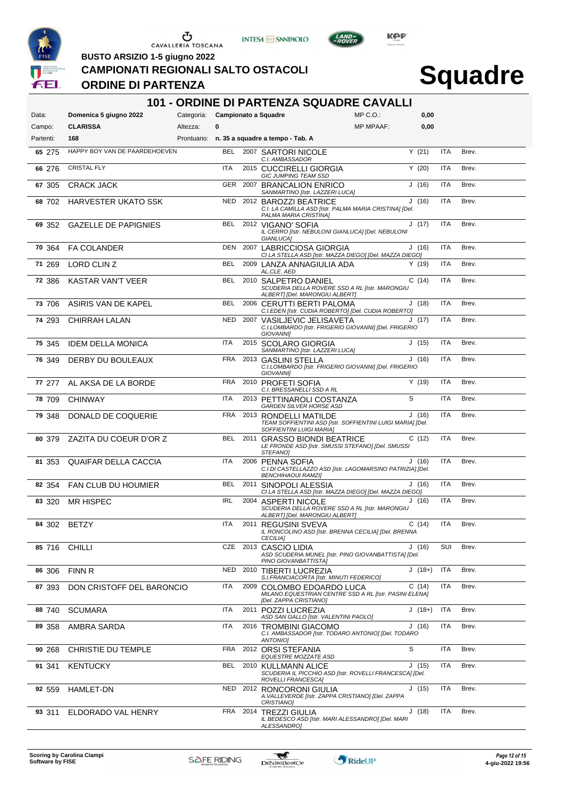





 $L$ AND

**BUSTO ARSIZIO 1-5 giugno 2022**

#### **CAMPIONATI REGIONALI SALTO OSTACOLI**

### **ORDINE DI PARTENZA**

|                     |                               |                                 |            |      | <b>101 - ORDINE DI PARTENZA SQUADRE CAVALLI</b>                                                                 |                  |          |            |       |
|---------------------|-------------------------------|---------------------------------|------------|------|-----------------------------------------------------------------------------------------------------------------|------------------|----------|------------|-------|
| Data:               | Domenica 5 giugno 2022        | Categoria: Campionato a Squadre |            |      |                                                                                                                 | $MP C. O.$ :     | 0,00     |            |       |
| Campo:<br>Partenti: | <b>CLARISSA</b><br>168        | Altezza:                        | $\bf{0}$   |      | Prontuario: n. 35 a squadre a tempo - Tab. A                                                                    | <b>MP MPAAF:</b> | 0,00     |            |       |
|                     | HAPPY BOY VAN DE PAARDEHOEVEN |                                 |            |      |                                                                                                                 |                  |          |            |       |
| 65 275              |                               |                                 | <b>BEL</b> |      | 2007 SARTORI NICOLE<br>C.I. AMBASSADOR                                                                          |                  | Y(21)    | <b>ITA</b> | Brev. |
| 66 276              | <b>CRISTAL FLY</b>            |                                 | ITA        |      | 2015 CUCCIRELLI GIORGIA<br>GIC JUMPING TEAM SSD                                                                 |                  | Y(20)    | <b>ITA</b> | Brev. |
| 67 305              | <b>CRACK JACK</b>             |                                 | GER        | 2007 | <b>BRANCALION ENRICO</b><br>SANMARTINO [Istr. LAZZERI LUCA]                                                     |                  | J(16)    | <b>ITA</b> | Brev. |
| 68 702              | <b>HARVESTER UKATO SSK</b>    |                                 | <b>NED</b> |      | 2012 BAROZZI BEATRICE<br>C.I. LA CAMILLA ASD [Istr. PALMA MARIA CRISTINA] [Del.<br>PALMA MARIA CRISTINA]        |                  | J(16)    | <b>ITA</b> | Brev. |
| 69 352              | <b>GAZELLE DE PAPIGNIES</b>   |                                 | <b>BEL</b> |      | 2012 VIGANO' SOFIA<br>IL CERRO [Istr. NEBULONI GIANLUCA] [Del. NEBULONI<br>GIANLUCA]                            |                  | J(17)    | <b>ITA</b> | Brev. |
| 70 364              | <b>FA COLANDER</b>            |                                 | DEN        |      | 2007 LABRICCIOSA GIORGIA<br>CI LA STELLA ASD [Istr. MAZZA DIEGO] [Del. MAZZA DIEGO]                             |                  | J(16)    | <b>ITA</b> | Brev. |
| 71 269              | LORD CLIN Z                   |                                 | BEL        |      | 2009 LANZA ANNAGIULIA ADA<br>AL.CLE. AED                                                                        |                  | Y(19)    | <b>ITA</b> | Brev. |
| 72 386              | <b>KASTAR VAN'T VEER</b>      |                                 | BEL        |      | 2010 SALPETRO DANIEL<br>SCUDERIA DELLA ROVERE SSD A RL [Istr. MARONGIU<br>ALBERT] [Del. MARONGIU ALBERT]        |                  | C(14)    | <b>ITA</b> | Brev. |
| 73 706              | ASIRIS VAN DE KAPEL           |                                 | BEL        |      | 2006 CERUTTI BERTI PALOMA<br>C.I.EDEN [Istr. CUDIA ROBERTO] [Del. CUDIA ROBERTO]                                |                  | J(18)    | <b>ITA</b> | Brev. |
| 74 293              | <b>CHIRRAH LALAN</b>          |                                 | <b>NED</b> |      | 2007 VASILJEVIC JELISAVETA<br>C.I.LOMBARDO [Istr. FRIGERIO GIOVANNI] [Del. FRIGERIO<br><b>GIOVANNII</b>         |                  | J(17)    | <b>ITA</b> | Brev. |
| 75 345              | <b>IDEM DELLA MONICA</b>      |                                 | <b>ITA</b> |      | 2015 SCOLARO GIORGIA<br>SANMARTINO [Istr. LAZZERI LUCA]                                                         |                  | J(15)    | <b>ITA</b> | Brev. |
| 76 349              | DERBY DU BOULEAUX             |                                 | <b>FRA</b> |      | 2013 GASLINI STELLA<br>C.I.LOMBARDO [Istr. FRIGERIO GIOVANNI] [Del. FRIGERIO<br><b>GIOVANNII</b>                |                  | J(16)    | <b>ITA</b> | Brev. |
| 77 277              | AL AKSA DE LA BORDE           |                                 | FRA        |      | 2010 PROFETI SOFIA<br>C.I. BRESSANELLI SSD A RL                                                                 |                  | Y(19)    | <b>ITA</b> | Brev. |
| 78 709              | <b>CHINWAY</b>                |                                 | ITA        |      | 2013 PETTINAROLI COSTANZA<br>GARDEN SILVER HORSE ASD                                                            |                  | S        | <b>ITA</b> | Brev. |
| 79 348              | DONALD DE COQUERIE            |                                 | <b>FRA</b> |      | 2013 RONDELLI MATILDE<br>TEAM SOFFIENTINI ASD [Istr. SOFFIENTINI LUIGI MARIA] [Del.<br>SOFFIENTINI LUIGI MARIA] |                  | J(16)    | <b>ITA</b> | Brev. |
| 80 379              | ZAZITA DU COEUR D'OR Z        |                                 | BEL        |      | 2011 GRASSO BIONDI BEATRICE<br>LE FRONDE ASD [Istr. SMUSSI STEFANO] [Del. SMUSSI<br>STEFANO]                    |                  | C(12)    | <b>ITA</b> | Brev. |
| 81 353              | <b>QUAIFAR DELLA CACCIA</b>   |                                 | ITA        |      | 2006 PENNA SOFIA<br>C.I.DI CASTELLAZZO ASD [Istr. LAGOMARSINO PATRIZIA] [Del.<br><b>BENCHIHAOUI RAMZI]</b>      |                  | J(16)    | <b>ITA</b> | Brev. |
| 82 354              | FAN CLUB DU HOUMIER           |                                 | <b>BEL</b> |      | 2011 SINOPOLI ALESSIA<br>CI LA STELLA ASD [Istr. MAZZA DIEGO] [Del. MAZZA DIEGO]                                |                  | J(16)    | <b>ITA</b> | Brev. |
| 83 320              | <b>MR HISPEC</b>              |                                 | <b>IRL</b> |      | 2004 ASPERTI NICOLE<br>SCUDERIA DELLA ROVERE SSD A RL [Istr. MARONGIU<br>ALBERT] [Del. MARONGIU ALBERT]         |                  | J(16)    | <b>ITA</b> | Brev. |
| 84 302              | <b>BETZY</b>                  |                                 | ITA        |      | 2011 REGUSINI SVEVA<br>IL RONCOLINO ASD [Istr. BRENNA CECILIA] [Del. BRENNA<br><b>CECILIA]</b>                  |                  | C(14)    | <b>ITA</b> | Brev. |
| 85 716              | <b>CHILLI</b>                 |                                 |            |      | CZE 2013 CASCIO LIDIA<br>ASD SCUDERIA MUNEL [Istr. PINO GIOVANBATTISTA] [Del.<br>PINO GIOVANBATTISTA]           |                  | J(16)    | SUI        | Brev. |
| 86 306              | <b>FINN R</b>                 |                                 | NED        |      | 2010 TIBERTI LUCREZIA<br>S.I.FRANCIACORTA [Istr. MINUTI FEDERICO]                                               |                  | $J(18+)$ | ITA        | Brev. |
| 87 393              | DON CRISTOFF DEL BARONCIO     |                                 | ITA        | 2009 | COLOMBO EDOARDO LUCA<br>MILANO EQUESTRIAN CENTRE SSD A RL [Istr. PASINI ELENA]<br>[Del. ZAPPA CRISTIANO]        |                  | C(14)    | <b>ITA</b> | Brev. |
| 88 740              | <b>SCUMARA</b>                |                                 | ITA        |      | 2011 POZZI LUCREZIA<br>ASD SAN GALLO [Istr. VALENTINI PAOLO]                                                    |                  | $J(18+)$ | <b>ITA</b> | Brev. |
| 89 358              | AMBRA SARDA                   |                                 | ITA        |      | 2016 TROMBINI GIACOMO<br>C.I. AMBASSADOR [Istr. TODARO ANTONIO] [Del. TODARO<br><b>ANTONIO]</b>                 |                  | J(16)    | ITA        | Brev. |
| 90 268              | CHRISTIE DU TEMPLE            |                                 | <b>FRA</b> |      | 2012 ORSI STEFANIA<br>EQUESTRE MOZZATE ASD                                                                      |                  | S        | ITA        | Brev. |
| 91 341              | <b>KENTUCKY</b>               |                                 | BEL        |      | 2010 KULLMANN ALICE<br>SCUDERIA IL PICCHIO ASD [Istr. ROVELLI FRANCESCA] [Del.<br>ROVELLI FRANCESCA]            |                  | J(15)    | ITA        | Brev. |
| 92 559              | HAMLET-DN                     |                                 | NED        |      | 2012 RONCORONI GIULIA<br>A. VALLEVERDE [Istr. ZAPPA CRISTIANO] [Del. ZAPPA<br>CRISTIANO]                        |                  | J(15)    | ITA        | Brev. |
| 93 311              | ELDORADO VAL HENRY            |                                 | FRA        |      | 2014 TREZZI GIULIA<br>IL BEDESCO ASD [Istr. MARI ALESSANDRO] [Del. MARI<br>ALESSANDRO]                          |                  | J(18)    | ITA        | Brev. |

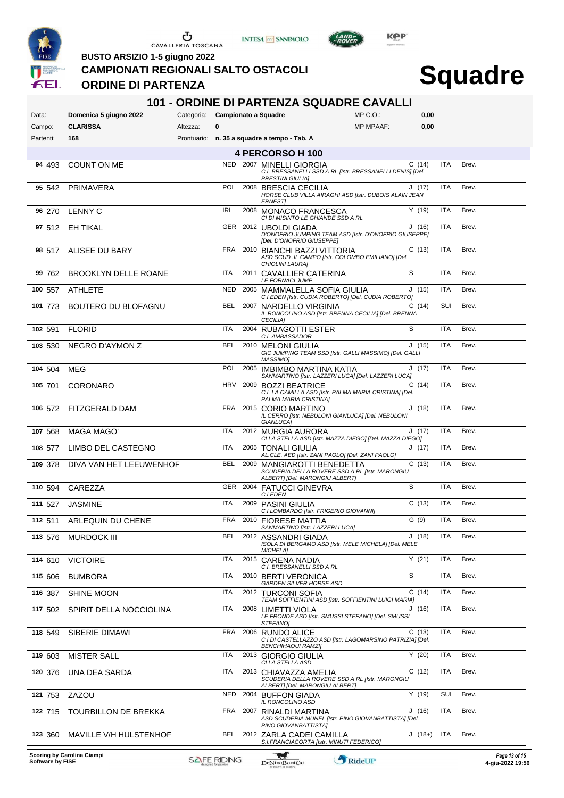





 $L$ AND<sub>=</sub>

**BUSTO ARSIZIO 1-5 giugno 2022**

**CAMPIONATI REGIONALI SALTO OSTACOLI**

### **ORDINE DI PARTENZA**

| 101 - ORDINE DI PARTENZA SQUADRE CAVALLI |                             |                                 |                    |      |                                                                                                                                        |                  |           |            |       |                                   |
|------------------------------------------|-----------------------------|---------------------------------|--------------------|------|----------------------------------------------------------------------------------------------------------------------------------------|------------------|-----------|------------|-------|-----------------------------------|
| Data:                                    | Domenica 5 giugno 2022      | Categoria: Campionato a Squadre |                    |      |                                                                                                                                        | $MP C. O.$ :     | 0,00      |            |       |                                   |
| Campo:                                   | <b>CLARISSA</b>             | Altezza:                        | 0                  |      |                                                                                                                                        | <b>MP MPAAF:</b> | 0,00      |            |       |                                   |
| Partenti:                                | 168                         |                                 |                    |      | Prontuario: n. 35 a squadre a tempo - Tab. A                                                                                           |                  |           |            |       |                                   |
| 94 493                                   | COUNT ON ME                 |                                 |                    |      | 4 PERCORSO H 100<br>NED 2007 MINELLI GIORGIA                                                                                           |                  | C(14)     | ITA        | Brev. |                                   |
|                                          |                             |                                 |                    |      | C.I. BRESSANELLI SSD A RL [Istr. BRESSANELLI DENIS] [Del.<br><b>PRESTINI GIULIAI</b>                                                   |                  |           |            |       |                                   |
| 95 542                                   | PRIMAVERA                   |                                 | <b>POL</b>         |      | 2008 BRESCIA CECILIA<br>HORSE CLUB VILLA AIRAGHI ASD [Istr. DUBOIS ALAIN JEAN<br><b>ERNESTI</b>                                        |                  | J(17)     | <b>ITA</b> | Brev. |                                   |
| 96 270                                   | <b>LENNY C</b>              |                                 | <b>IRL</b>         |      | 2008 MONACO FRANCESCA<br>CI DI MISINTO LE GHIANDE SSD A RL                                                                             |                  | Y(19)     | <b>ITA</b> | Brev. |                                   |
| 97 512                                   | EH TIKAL                    |                                 |                    |      | GER 2012 UBOLDI GIADA<br>D'ONOFRIO JUMPING TEAM ASD [Istr. D'ONOFRIO GIUSEPPE]<br>[Del. D'ONOFRIO GIUSEPPE]                            |                  | J(16)     | <b>ITA</b> | Brev. |                                   |
| 98 517                                   | ALISEE DU BARY              |                                 | <b>FRA</b>         |      | 2010 BIANCHI BAZZI VITTORIA<br>ASD SCUD .IL CAMPO [Istr. COLOMBO EMILIANO] [Del.<br>CHIOLINI LAURA]                                    |                  | C(13)     | <b>ITA</b> | Brev. |                                   |
| 99 762                                   | <b>BROOKLYN DELLE ROANE</b> |                                 | <b>ITA</b>         |      | 2011 CAVALLIER CATERINA<br><b>LE FORNACI JUMP</b>                                                                                      |                  | S         | <b>ITA</b> | Brev. |                                   |
| 100 557                                  | ATHLETE                     |                                 | <b>NED</b>         |      | 2005 MAMMALELLA SOFIA GIULIA<br>C.I.EDEN [Istr. CUDIA ROBERTO] [Del. CUDIA ROBERTO]                                                    |                  | J(15)     | <b>ITA</b> | Brev. |                                   |
| 101 773                                  | BOUTERO DU BLOFAGNU         |                                 | <b>BEL</b>         |      | 2007 NARDELLO VIRGINIA<br>IL RONCOLINO ASD [Istr. BRENNA CECILIA] [Del. BRENNA<br><b>CECILIA]</b>                                      |                  | C(14)     | SUI        | Brev. |                                   |
| 102 591                                  | FLORID                      |                                 | ITA                |      | 2004 RUBAGOTTI ESTER<br>C.I. AMBASSADOR                                                                                                |                  | S         | <b>ITA</b> | Brev. |                                   |
| 103 530                                  | NEGRO D'AYMON Z             |                                 | <b>BEL</b>         | 2010 | MELONI GIULIA<br>GIC JUMPING TEAM SSD [Istr. GALLI MASSIMO] [Del. GALLI<br>MASSIMO]                                                    |                  | J(15)     | <b>ITA</b> | Brev. |                                   |
| 104 504                                  | MEG                         |                                 | <b>POL</b>         |      | 2005 IMBIMBO MARTINA KATIA<br>SANMARTINO [Istr. LAZZERI LUCA] [Del. LAZZERI LUCA]                                                      |                  | J(17)     | <b>ITA</b> | Brev. |                                   |
| 105 701                                  | <b>CORONARO</b>             |                                 | <b>HRV</b>         |      | 2009 BOZZI BEATRICE<br>C.I. LA CAMILLA ASD [Istr. PALMA MARIA CRISTINA] [Del.<br>PALMA MARIA CRISTINA]                                 |                  | C(14)     | <b>ITA</b> | Brev. |                                   |
| 106 572                                  | FITZGERALD DAM              |                                 | FRA                |      | 2015 CORIO MARTINO<br>IL CERRO [Istr. NEBULONI GIANLUCA] [Del. NEBULONI<br>GIANLUCA]                                                   |                  | J(18)     | <b>ITA</b> | Brev. |                                   |
| 107 568                                  | MAGA MAGO'                  |                                 | <b>ITA</b>         |      | 2012 MURGIA AURORA<br>CI LA STELLA ASD [Istr. MAZZA DIEGO] [Del. MAZZA DIEGO]                                                          |                  | J(17)     | <b>ITA</b> | Brev. |                                   |
| 108 577                                  | LIMBO DEL CASTEGNO          |                                 | <b>ITA</b>         |      | 2005 TONALI GIULIA<br>AL.CLE. AED [Istr. ZANI PAOLO] [Del. ZANI PAOLO]                                                                 |                  | J(17)     | <b>ITA</b> | Brev. |                                   |
| 109 378                                  | DIVA VAN HET LEEUWENHOF     |                                 | <b>BEL</b>         |      | 2009 MANGIAROTTI BENEDETTA<br>SCUDERIA DELLA ROVERE SSD A RL [Istr. MARONGIU<br>ALBERT] [Del. MARONGIU ALBERT]                         |                  | C(13)     | <b>ITA</b> | Brev. |                                   |
| 110 594                                  | CAREZZA                     |                                 |                    |      | GER 2004 FATUCCI GINEVRA<br>C.I.EDEN                                                                                                   |                  | S         | <b>ITA</b> | Brev. |                                   |
| 111 527                                  | <b>JASMINE</b>              |                                 | ITA                |      | 2009 PASINI GIULIA<br>C.I.LOMBARDO [Istr. FRIGERIO GIOVANNI]                                                                           |                  | C(13)     | ITA        | Brev. |                                   |
| 112 511                                  | ARLEQUIN DU CHENE           |                                 | <b>FRA</b>         |      | 2010 FIORESE MATTIA                                                                                                                    |                  | G (9)     | <b>ITA</b> | Brev. |                                   |
| 113 576                                  | <b>MURDOCK III</b>          |                                 | BEL                |      | SANMARTINO [Istr. LAZZERI LUCA]<br>2012 ASSANDRI GIADA<br>ISOLA DI BERGAMO ASD [Istr. MELE MICHELA] [Del. MELE<br><b>MICHELA]</b>      |                  | J(18)     | ITA        | Brev. |                                   |
| 114 610                                  | <b>VICTOIRE</b>             |                                 | <b>ITA</b>         |      | 2015 CARENA NADIA<br>C.I. BRESSANELLI SSD A RL                                                                                         |                  | Y(21)     | <b>ITA</b> | Brev. |                                   |
| 115 606                                  | <b>BUMBORA</b>              |                                 | <b>ITA</b>         |      | 2010 BERTI VERONICA<br>GARDEN SILVER HORSE ASD                                                                                         |                  | S         | <b>ITA</b> | Brev. |                                   |
| 116 387                                  | <b>SHINE MOON</b>           |                                 | <b>ITA</b>         |      | 2012 TURCONI SOFIA                                                                                                                     |                  | C(14)     | <b>ITA</b> | Brev. |                                   |
| 117 502                                  | SPIRIT DELLA NOCCIOLINA     |                                 | <b>ITA</b>         | 2008 | TEAM SOFFIENTINI ASD [Istr. SOFFIENTINI LUIGI MARIA]<br>LIMETTI VIOLA<br>LE FRONDE ASD [Istr. SMUSSI STEFANO] [Del. SMUSSI<br>STEFANO] |                  | (16)<br>J | <b>ITA</b> | Brev. |                                   |
| 118 549                                  | SIBERIE DIMAWI              |                                 | <b>FRA</b>         |      | 2006 RUNDO ALICE<br>C.I.DI CASTELLAZZO ASD [Istr. LAGOMARSINO PATRIZIA] [Del.<br><b>BENCHIHAOUI RAMZI]</b>                             |                  | C(13)     | <b>ITA</b> | Brev. |                                   |
| 119 603                                  | <b>MISTER SALL</b>          |                                 | <b>ITA</b>         |      | 2013 GIORGIO GIULIA<br>CI LA STELLA ASD                                                                                                |                  | Y(20)     | <b>ITA</b> | Brev. |                                   |
| 120 376                                  | UNA DEA SARDA               |                                 | <b>ITA</b>         |      | 2013 CHIAVAZZA AMELIA<br>SCUDERIA DELLA ROVERE SSD A RL [Istr. MARONGIU<br>ALBERT] [Del. MARONGIU ALBERT]                              |                  | C(12)     | ITA        | Brev. |                                   |
| 121 753                                  | ZAZOU                       |                                 | <b>NED</b>         |      | 2004 BUFFON GIADA<br>IL RONCOLINO ASD                                                                                                  |                  | Y(19)     | SUI        | Brev. |                                   |
| 122 715                                  | <b>TOURBILLON DE BREKKA</b> |                                 | <b>FRA</b>         |      | 2007 RINALDI MARTINA<br>ASD SCUDERIA MUNEL [Istr. PINO GIOVANBATTISTA] [Del.<br>PINO GIOVANBATTISTA]                                   |                  | J(16)     | <b>ITA</b> | Brev. |                                   |
| 123 360                                  | MAVILLE V/H HULSTENHOF      |                                 | <b>BEL</b>         |      | 2012 ZARLA CADEI CAMILLA<br>S.I.FRANCIACORTA [Istr. MINUTI FEDERICO]                                                                   |                  | $J(18+)$  | <b>ITA</b> | Brev. |                                   |
| Software by FISE                         | Scoring by Carolina Ciampi  |                                 | <b>SAFE RIDING</b> |      | لي<br><b>DeNiroBootCo</b>                                                                                                              | RideUP           |           |            |       | Page 13 of 15<br>4-giu-2022 19:56 |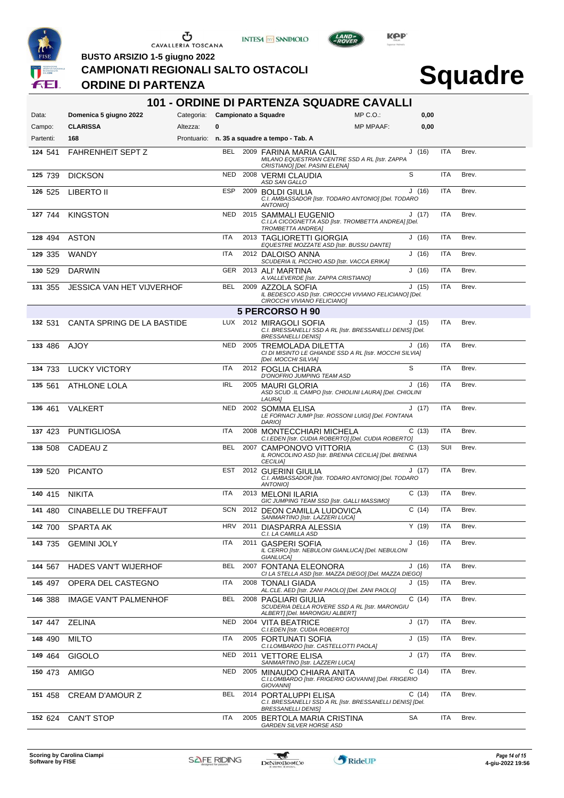

**INTESA** M SANPAOLO



**Squadre**

#### **BUSTO ARSIZIO 1-5 giugno 2022 CAMPIONATI REGIONALI SALTO OSTACOLI**

### **ORDINE DI PARTENZA**

| 101 - ORDINE DI PARTENZA SQUADRE CAVALLI |                               |                                 |            |      |                                                                                                                   |                  |        |            |       |
|------------------------------------------|-------------------------------|---------------------------------|------------|------|-------------------------------------------------------------------------------------------------------------------|------------------|--------|------------|-------|
| Data:                                    | Domenica 5 giugno 2022        | Categoria: Campionato a Squadre |            |      |                                                                                                                   | $MP C. O.$ :     | 0,00   |            |       |
| Campo:                                   | <b>CLARISSA</b>               | Altezza:                        | 0          |      |                                                                                                                   | <b>MP MPAAF:</b> | 0,00   |            |       |
| Partenti:                                | 168                           |                                 |            |      | Prontuario: n. 35 a squadre a tempo - Tab. A                                                                      |                  |        |            |       |
| 124 541                                  | <b>FAHRENHEIT SEPT Z</b>      |                                 |            |      | BEL 2009 FARINA MARIA GAIL<br>MILANO EQUESTRIAN CENTRE SSD A RL [Istr. ZAPPA<br>CRISTIANO] [Del. PASINI ELENA]    |                  | J(16)  | <b>ITA</b> | Brev. |
| 125 739                                  | <b>DICKSON</b>                |                                 | <b>NED</b> |      | 2008 VERMI CLAUDIA<br>ASD SAN GALLO                                                                               |                  | S      | <b>ITA</b> | Brev. |
| 126 525                                  | LIBERTO II                    |                                 | <b>ESP</b> |      | 2009 BOLDI GIULIA<br>C.I. AMBASSADOR [Istr. TODARO ANTONIO] [Del. TODARO<br>ANTONIO]                              |                  | J(16)  | <b>ITA</b> | Brev. |
| 127 744                                  | <b>KINGSTON</b>               |                                 | <b>NED</b> |      | 2015 SAMMALI EUGENIO<br>C.I.LA CICOGNETTA ASD [Istr. TROMBETTA ANDREA] [Del.<br><b>TROMBETTA ANDREA]</b>          |                  | J(17)  | <b>ITA</b> | Brev. |
| 128 494                                  | <b>ASTON</b>                  |                                 | ITA        |      | 2013 TAGLIORETTI GIORGIA<br>EQUESTRE MOZZATE ASD [Istr. BUSSU DANTE]                                              |                  | J(16)  | <b>ITA</b> | Brev. |
| 129 335                                  | <b>WANDY</b>                  |                                 | <b>ITA</b> |      | 2012 DALOISO ANNA<br>SCUDERIA IL PICCHIO ASD [Istr. VACCA ERIKA]                                                  |                  | J(16)  | <b>ITA</b> | Brev. |
| 130 529                                  | <b>DARWIN</b>                 |                                 | <b>GER</b> |      | 2013 ALI' MARTINA<br>A. VALLEVERDE [Istr. ZAPPA CRISTIANO]                                                        |                  | J(16)  | <b>ITA</b> | Brev. |
| 131 355                                  | JESSICA VAN HET VIJVERHOF     |                                 | <b>BEL</b> |      | 2009 AZZOLA SOFIA<br>IL BEDESCO ASD [Istr. CIROCCHI VIVIANO FELICIANO] [Del.<br>CIROCCHI VIVIANO FELICIANO]       |                  | J(15)  | ITA        | Brev. |
|                                          |                               |                                 |            |      | 5 PERCORSO H 90                                                                                                   |                  |        |            |       |
| 132 531                                  | CANTA SPRING DE LA BASTIDE    |                                 |            |      | LUX 2012 MIRAGOLI SOFIA<br>C.I. BRESSANELLI SSD A RL [Istr. BRESSANELLI DENIS] [Del.<br><b>BRESSANELLI DENIS]</b> |                  | J(15)  | ITA        | Brev. |
| 133 486                                  | AJOY                          |                                 | NED        |      | 2005 TREMOLADA DILETTA<br>CI DI MISINTO LE GHIANDE SSD A RL [Istr. MOCCHI SILVIA]<br>[Del. MOCCHI SILVIA]         |                  | J(16)  | <b>ITA</b> | Brev. |
| 134 733                                  | <b>LUCKY VICTORY</b>          |                                 | ITA        |      | 2012 FOGLIA CHIARA<br>D'ONOFRIO JUMPING TEAM ASD                                                                  |                  | S      | <b>ITA</b> | Brev. |
| 135 561                                  | <b>ATHLONE LOLA</b>           |                                 | <b>IRL</b> |      | 2005 MAURI GLORIA<br>ASD SCUD .IL CAMPO [Istr. CHIOLINI LAURA] [Del. CHIOLINI<br>LAURA]                           |                  | J(16)  | <b>ITA</b> | Brev. |
| 136 461                                  | VALKERT                       |                                 | <b>NED</b> |      | 2002 SOMMA ELISA<br>LE FORNACI JUMP [Istr. ROSSONI LUIGI] [Del. FONTANA<br>DARIO]                                 |                  | J(17)  | <b>ITA</b> | Brev. |
| 137 423                                  | <b>PUNTIGLIOSA</b>            |                                 | <b>ITA</b> |      | 2008 MONTECCHIARI MICHELA<br>C.I.EDEN [Istr. CUDIA ROBERTO] [Del. CUDIA ROBERTO]                                  |                  | C(13)  | <b>ITA</b> | Brev. |
| 138 508                                  | CADEAU Z                      |                                 | <b>BEL</b> |      | 2007 CAMPONOVO VITTORIA<br>IL RONCOLINO ASD [Istr. BRENNA CECILIA] [Del. BRENNA<br><b>CECILIA)</b>                |                  | C(13)  | SUI        | Brev. |
| 139 520                                  | <b>PICANTO</b>                |                                 | EST        |      | 2012 GUERINI GIULIA<br>C.I. AMBASSADOR [Istr. TODARO ANTONIO] [Del. TODARO<br>ANTONIO]                            |                  | J (17) | <b>ITA</b> | Brev. |
| 140 415                                  | <b>NIKITA</b>                 |                                 | ITA        |      | 2013 MELONI ILARIA<br>GIC JUMPING TEAM SSD [Istr. GALLI MASSIMO]                                                  |                  | C(13)  | <b>ITA</b> | Brev. |
|                                          | 141 480 CINABELLE DU TREFFAUT |                                 |            |      | SCN 2012 DEON CAMILLA LUDOVICA<br>SANMARTINO IIstr. LAZZERI LUCAI                                                 |                  | C(14)  | ITA        | Brev. |
| 142 700                                  | SPARTA AK                     |                                 | HRV        |      | 2011 DIASPARRA ALESSIA<br>C.I. LA CAMILLA ASD                                                                     |                  | Y(19)  | ITA        | Brev. |
| 143 735                                  | <b>GEMINI JOLY</b>            |                                 | <b>ITA</b> | 2011 | <b>GASPERI SOFIA</b><br>IL CERRO [Istr. NEBULONI GIANLUCA] [Del. NEBULONI<br>GIANLUCA]                            |                  | J(16)  | ITA        | Brev. |
| 144 567                                  | <b>HADES VAN'T WIJERHOF</b>   |                                 | <b>BEL</b> |      | 2007 FONTANA ELEONORA<br>CI LA STELLA ASD [Istr. MAZZA DIEGO] [Del. MAZZA DIEGO]                                  |                  | J(16)  | <b>ITA</b> | Brev. |
| 145 497                                  | OPERA DEL CASTEGNO            |                                 | <b>ITA</b> |      | 2008 TONALI GIADA<br>AL.CLE. AED [Istr. ZANI PAOLO] [Del. ZANI PAOLO]                                             |                  | J(15)  | ITA        | Brev. |
| 146 388                                  | <b>IMAGE VAN'T PALMENHOF</b>  |                                 | <b>BEL</b> |      | 2008 PAGLIARI GIULIA<br>SCUDERIA DELLA ROVERE SSD A RL [Istr. MARONGIU<br>ALBERT] [Del. MARONGIU ALBERT]          |                  | C(14)  | <b>ITA</b> | Brev. |
| 147 447                                  | <b>ZELINA</b>                 |                                 |            |      | NED 2004 VITA BEATRICE<br>C.I.EDEN [Istr. CUDIA ROBERTO]                                                          |                  | J(17)  | <b>ITA</b> | Brev. |
| 148 490                                  | <b>MILTO</b>                  |                                 | <b>ITA</b> |      | 2005 FORTUNATI SOFIA<br>C.I.LOMBARDO [Istr. CASTELLOTTI PAOLA]                                                    |                  | J(15)  | <b>ITA</b> | Brev. |
| 149 464                                  | GIGOLO                        |                                 | <b>NED</b> |      | 2011 VETTORE ELISA<br>SANMARTINO [Istr. LAZZERI LUCA]                                                             |                  | J (17) | <b>ITA</b> | Brev. |
| 150 473                                  | AMIGO                         |                                 | NED        |      | 2005 MINAUDO CHIARA ANITA<br>C.I.LOMBARDO [Istr. FRIGERIO GIOVANNI] [Del. FRIGERIO<br><b>GIOVANNII</b>            |                  | C(14)  | <b>ITA</b> | Brev. |
| 151 458                                  | <b>CREAM D'AMOUR Z</b>        |                                 | BEL        |      | 2014 PORTALUPPI ELISA<br>C.I. BRESSANELLI SSD A RL [Istr. BRESSANELLI DENIS] [Del.<br><b>BRESSANELLI DENIS]</b>   |                  | C(14)  | <b>ITA</b> | Brev. |
| 152 624                                  | <b>CAN'T STOP</b>             |                                 | ITA        |      | 2005 BERTOLA MARIA CRISTINA<br><b>GARDEN SILVER HORSE ASD</b>                                                     |                  | SA     | ITA        | Brev. |